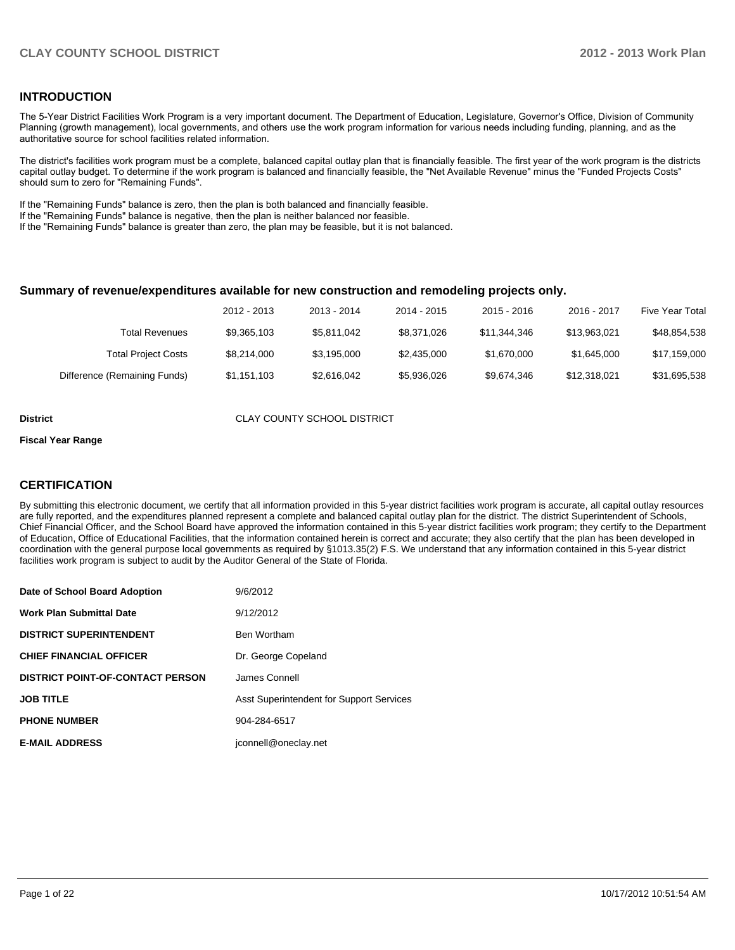### **INTRODUCTION**

The 5-Year District Facilities Work Program is a very important document. The Department of Education, Legislature, Governor's Office, Division of Community Planning (growth management), local governments, and others use the work program information for various needs including funding, planning, and as the authoritative source for school facilities related information.

The district's facilities work program must be a complete, balanced capital outlay plan that is financially feasible. The first year of the work program is the districts capital outlay budget. To determine if the work program is balanced and financially feasible, the "Net Available Revenue" minus the "Funded Projects Costs" should sum to zero for "Remaining Funds".

If the "Remaining Funds" balance is zero, then the plan is both balanced and financially feasible.

If the "Remaining Funds" balance is negative, then the plan is neither balanced nor feasible.

If the "Remaining Funds" balance is greater than zero, the plan may be feasible, but it is not balanced.

#### **Summary of revenue/expenditures available for new construction and remodeling projects only.**

|                              | 2012 - 2013 | 2013 - 2014 | 2014 - 2015 | $2015 - 2016$ | 2016 - 2017  | Five Year Total |
|------------------------------|-------------|-------------|-------------|---------------|--------------|-----------------|
| <b>Total Revenues</b>        | \$9,365,103 | \$5,811,042 | \$8,371,026 | \$11,344,346  | \$13.963.021 | \$48,854,538    |
| <b>Total Project Costs</b>   | \$8,214,000 | \$3.195.000 | \$2,435,000 | \$1,670,000   | \$1,645,000  | \$17,159,000    |
| Difference (Remaining Funds) | \$1,151,103 | \$2.616.042 | \$5.936.026 | \$9.674.346   | \$12,318,021 | \$31,695,538    |

**District CLAY COUNTY SCHOOL DISTRICT** 

#### **Fiscal Year Range**

### **CERTIFICATION**

By submitting this electronic document, we certify that all information provided in this 5-year district facilities work program is accurate, all capital outlay resources are fully reported, and the expenditures planned represent a complete and balanced capital outlay plan for the district. The district Superintendent of Schools, Chief Financial Officer, and the School Board have approved the information contained in this 5-year district facilities work program; they certify to the Department of Education, Office of Educational Facilities, that the information contained herein is correct and accurate; they also certify that the plan has been developed in coordination with the general purpose local governments as required by §1013.35(2) F.S. We understand that any information contained in this 5-year district facilities work program is subject to audit by the Auditor General of the State of Florida.

| Date of School Board Adoption           | 9/6/2012                                 |
|-----------------------------------------|------------------------------------------|
| <b>Work Plan Submittal Date</b>         | 9/12/2012                                |
| <b>DISTRICT SUPERINTENDENT</b>          | Ben Wortham                              |
| <b>CHIEF FINANCIAL OFFICER</b>          | Dr. George Copeland                      |
| <b>DISTRICT POINT-OF-CONTACT PERSON</b> | James Connell                            |
| <b>JOB TITLE</b>                        | Asst Superintendent for Support Services |
| <b>PHONE NUMBER</b>                     | 904-284-6517                             |
| <b>E-MAIL ADDRESS</b>                   | jconnell@oneclay.net                     |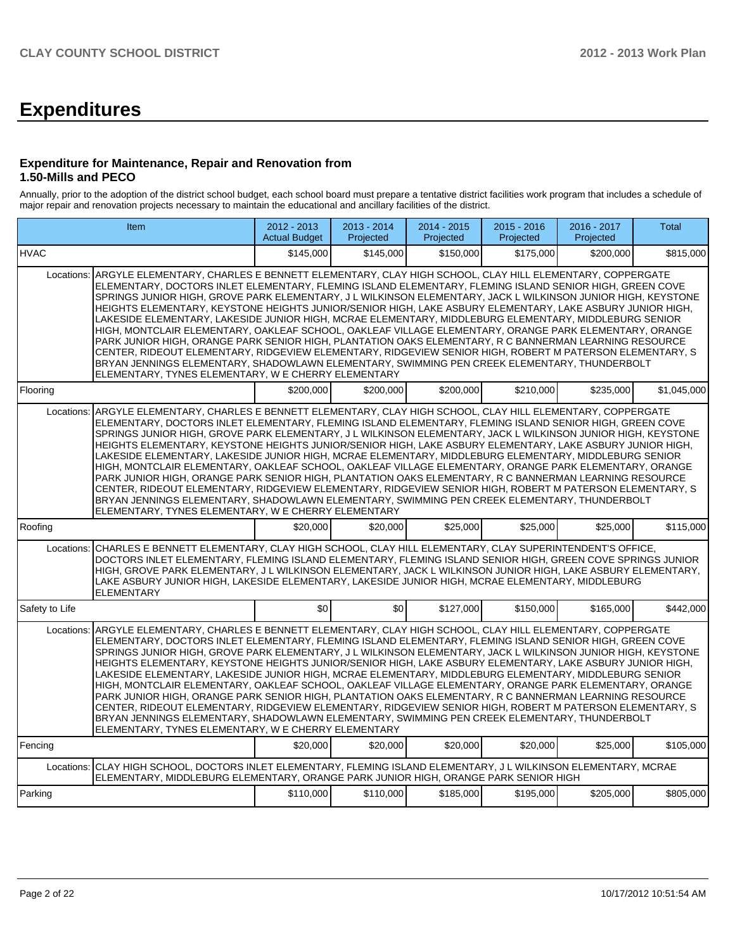# **Expenditures**

### **Expenditure for Maintenance, Repair and Renovation from 1.50-Mills and PECO**

Annually, prior to the adoption of the district school budget, each school board must prepare a tentative district facilities work program that includes a schedule of major repair and renovation projects necessary to maintain the educational and ancillary facilities of the district.

|                | Item                                                                                                                                                                                                                                                                                                                                                                                                                                                                                                                                                                                                                                                                                                                                                                                                                                                                                                                                                                                                                                                   | 2012 - 2013<br><b>Actual Budget</b> | 2013 - 2014<br>Projected | 2014 - 2015<br>Projected | $2015 - 2016$<br>Projected | 2016 - 2017<br>Projected | <b>Total</b> |  |
|----------------|--------------------------------------------------------------------------------------------------------------------------------------------------------------------------------------------------------------------------------------------------------------------------------------------------------------------------------------------------------------------------------------------------------------------------------------------------------------------------------------------------------------------------------------------------------------------------------------------------------------------------------------------------------------------------------------------------------------------------------------------------------------------------------------------------------------------------------------------------------------------------------------------------------------------------------------------------------------------------------------------------------------------------------------------------------|-------------------------------------|--------------------------|--------------------------|----------------------------|--------------------------|--------------|--|
| <b>HVAC</b>    |                                                                                                                                                                                                                                                                                                                                                                                                                                                                                                                                                                                                                                                                                                                                                                                                                                                                                                                                                                                                                                                        | \$145,000                           | \$145,000                | \$150,000                | \$175,000                  | \$200,000                | \$815,000    |  |
| Locations:     | ARGYLE ELEMENTARY, CHARLES E BENNETT ELEMENTARY, CLAY HIGH SCHOOL, CLAY HILL ELEMENTARY, COPPERGATE<br>ELEMENTARY, DOCTORS INLET ELEMENTARY, FLEMING ISLAND ELEMENTARY, FLEMING ISLAND SENIOR HIGH, GREEN COVE<br>SPRINGS JUNIOR HIGH, GROVE PARK ELEMENTARY, J L WILKINSON ELEMENTARY, JACK L WILKINSON JUNIOR HIGH, KEYSTONE<br>HEIGHTS ELEMENTARY, KEYSTONE HEIGHTS JUNIOR/SENIOR HIGH, LAKE ASBURY ELEMENTARY, LAKE ASBURY JUNIOR HIGH,<br>LAKESIDE ELEMENTARY, LAKESIDE JUNIOR HIGH, MCRAE ELEMENTARY, MIDDLEBURG ELEMENTARY, MIDDLEBURG SENIOR<br>HIGH, MONTCLAIR ELEMENTARY, OAKLEAF SCHOOL, OAKLEAF VILLAGE ELEMENTARY, ORANGE PARK ELEMENTARY, ORANGE<br>PARK JUNIOR HIGH, ORANGE PARK SENIOR HIGH, PLANTATION OAKS ELEMENTARY, R C BANNERMAN LEARNING RESOURCE<br>CENTER, RIDEOUT ELEMENTARY, RIDGEVIEW ELEMENTARY, RIDGEVIEW SENIOR HIGH, ROBERT M PATERSON ELEMENTARY, S<br>BRYAN JENNINGS ELEMENTARY, SHADOWLAWN ELEMENTARY, SWIMMING PEN CREEK ELEMENTARY, THUNDERBOLT<br>ELEMENTARY, TYNES ELEMENTARY, W E CHERRY ELEMENTARY            |                                     |                          |                          |                            |                          |              |  |
| Flooring       |                                                                                                                                                                                                                                                                                                                                                                                                                                                                                                                                                                                                                                                                                                                                                                                                                                                                                                                                                                                                                                                        | \$200,000                           | \$200,000                | \$200.000                | \$210,000                  | \$235,000                | \$1,045,000  |  |
| Locations:     | ARGYLE ELEMENTARY, CHARLES E BENNETT ELEMENTARY, CLAY HIGH SCHOOL, CLAY HILL ELEMENTARY, COPPERGATE<br>ELEMENTARY, DOCTORS INLET ELEMENTARY, FLEMING ISLAND ELEMENTARY, FLEMING ISLAND SENIOR HIGH, GREEN COVE<br>SPRINGS JUNIOR HIGH, GROVE PARK ELEMENTARY, J L WILKINSON ELEMENTARY, JACK L WILKINSON JUNIOR HIGH, KEYSTONE<br>HEIGHTS ELEMENTARY, KEYSTONE HEIGHTS JUNIOR/SENIOR HIGH, LAKE ASBURY ELEMENTARY, LAKE ASBURY JUNIOR HIGH,<br>LAKESIDE ELEMENTARY, LAKESIDE JUNIOR HIGH, MCRAE ELEMENTARY, MIDDLEBURG ELEMENTARY, MIDDLEBURG SENIOR<br>HIGH, MONTCLAIR ELEMENTARY, OAKLEAF SCHOOL, OAKLEAF VILLAGE ELEMENTARY, ORANGE PARK ELEMENTARY, ORANGE<br>PARK JUNIOR HIGH, ORANGE PARK SENIOR HIGH, PLANTATION OAKS ELEMENTARY, R C BANNERMAN LEARNING RESOURCE<br>CENTER, RIDEOUT ELEMENTARY, RIDGEVIEW ELEMENTARY, RIDGEVIEW SENIOR HIGH, ROBERT M PATERSON ELEMENTARY, S<br>BRYAN JENNINGS ELEMENTARY, SHADOWLAWN ELEMENTARY, SWIMMING PEN CREEK ELEMENTARY, THUNDERBOLT<br>ELEMENTARY, TYNES ELEMENTARY, W E CHERRY ELEMENTARY            |                                     |                          |                          |                            |                          |              |  |
| Roofing        |                                                                                                                                                                                                                                                                                                                                                                                                                                                                                                                                                                                                                                                                                                                                                                                                                                                                                                                                                                                                                                                        | \$20,000                            | \$20,000                 | \$25,000                 | \$25,000                   | \$25,000                 | \$115,000    |  |
| Locations:     | CHARLES E BENNETT ELEMENTARY, CLAY HIGH SCHOOL, CLAY HILL ELEMENTARY, CLAY SUPERINTENDENT'S OFFICE,<br>DOCTORS INLET ELEMENTARY, FLEMING ISLAND ELEMENTARY, FLEMING ISLAND SENIOR HIGH, GREEN COVE SPRINGS JUNIOR<br>HIGH, GROVE PARK ELEMENTARY, J L WILKINSON ELEMENTARY, JACK L WILKINSON JUNIOR HIGH, LAKE ASBURY ELEMENTARY,<br>LAKE ASBURY JUNIOR HIGH, LAKESIDE ELEMENTARY, LAKESIDE JUNIOR HIGH, MCRAE ELEMENTARY, MIDDLEBURG<br><b>ELEMENTARY</b>                                                                                                                                                                                                                                                                                                                                                                                                                                                                                                                                                                                             |                                     |                          |                          |                            |                          |              |  |
| Safety to Life |                                                                                                                                                                                                                                                                                                                                                                                                                                                                                                                                                                                                                                                                                                                                                                                                                                                                                                                                                                                                                                                        | \$0                                 | \$0                      | \$127,000                | \$150.000                  | \$165,000                | \$442,000    |  |
|                | Locations: ARGYLE ELEMENTARY, CHARLES E BENNETT ELEMENTARY, CLAY HIGH SCHOOL, CLAY HILL ELEMENTARY, COPPERGATE<br>ELEMENTARY, DOCTORS INLET ELEMENTARY, FLEMING ISLAND ELEMENTARY, FLEMING ISLAND SENIOR HIGH, GREEN COVE<br>SPRINGS JUNIOR HIGH, GROVE PARK ELEMENTARY, J L WILKINSON ELEMENTARY, JACK L WILKINSON JUNIOR HIGH, KEYSTONE<br>HEIGHTS ELEMENTARY, KEYSTONE HEIGHTS JUNIOR/SENIOR HIGH, LAKE ASBURY ELEMENTARY, LAKE ASBURY JUNIOR HIGH,<br>LAKESIDE ELEMENTARY. LAKESIDE JUNIOR HIGH, MCRAE ELEMENTARY, MIDDLEBURG ELEMENTARY, MIDDLEBURG SENIOR<br>HIGH, MONTCLAIR ELEMENTARY, OAKLEAF SCHOOL, OAKLEAF VILLAGE ELEMENTARY, ORANGE PARK ELEMENTARY, ORANGE<br>PARK JUNIOR HIGH, ORANGE PARK SENIOR HIGH, PLANTATION OAKS ELEMENTARY, R C BANNERMAN LEARNING RESOURCE<br>CENTER, RIDEOUT ELEMENTARY, RIDGEVIEW ELEMENTARY, RIDGEVIEW SENIOR HIGH, ROBERT M PATERSON ELEMENTARY, S<br>BRYAN JENNINGS ELEMENTARY, SHADOWLAWN ELEMENTARY, SWIMMING PEN CREEK ELEMENTARY, THUNDERBOLT<br>ELEMENTARY, TYNES ELEMENTARY, W E CHERRY ELEMENTARY |                                     |                          |                          |                            |                          |              |  |
| Fencing        |                                                                                                                                                                                                                                                                                                                                                                                                                                                                                                                                                                                                                                                                                                                                                                                                                                                                                                                                                                                                                                                        | \$20,000                            | \$20,000                 | \$20,000                 | \$20,000                   | \$25,000                 | \$105,000    |  |
| Locations:     | CLAY HIGH SCHOOL, DOCTORS INLET ELEMENTARY, FLEMING ISLAND ELEMENTARY, J L WILKINSON ELEMENTARY, MCRAE<br>ELEMENTARY, MIDDLEBURG ELEMENTARY, ORANGE PARK JUNIOR HIGH, ORANGE PARK SENIOR HIGH                                                                                                                                                                                                                                                                                                                                                                                                                                                                                                                                                                                                                                                                                                                                                                                                                                                          |                                     |                          |                          |                            |                          |              |  |
| Parking        |                                                                                                                                                                                                                                                                                                                                                                                                                                                                                                                                                                                                                                                                                                                                                                                                                                                                                                                                                                                                                                                        | \$110,000                           | \$110,000                | \$185,000                | \$195,000                  | \$205,000                | \$805,000    |  |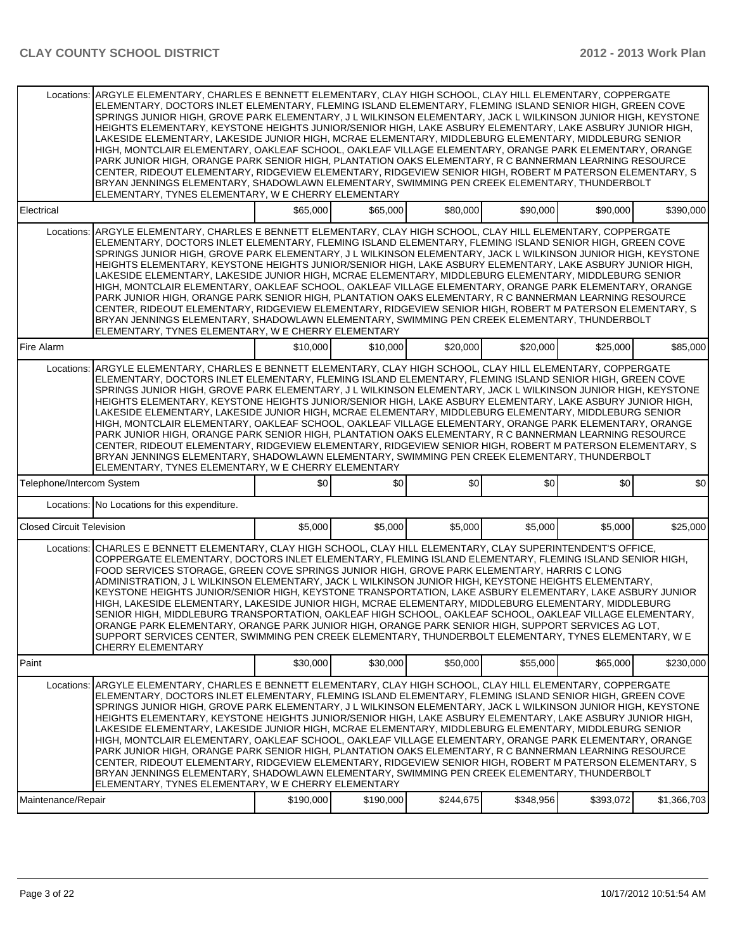| \$65,000<br>\$65,000<br>Electrical<br>\$80,000<br>\$90,000<br>\$90,000<br>ARGYLE ELEMENTARY, CHARLES E BENNETT ELEMENTARY, CLAY HIGH SCHOOL, CLAY HILL ELEMENTARY, COPPERGATE<br>Locations:<br>ELEMENTARY, DOCTORS INLET ELEMENTARY, FLEMING ISLAND ELEMENTARY, FLEMING ISLAND SENIOR HIGH, GREEN COVE<br>SPRINGS JUNIOR HIGH, GROVE PARK ELEMENTARY, J L WILKINSON ELEMENTARY, JACK L WILKINSON JUNIOR HIGH, KEYSTONE<br>HEIGHTS ELEMENTARY, KEYSTONE HEIGHTS JUNIOR/SENIOR HIGH, LAKE ASBURY ELEMENTARY, LAKE ASBURY JUNIOR HIGH,<br>LAKESIDE ELEMENTARY, LAKESIDE JUNIOR HIGH, MCRAE ELEMENTARY, MIDDLEBURG ELEMENTARY, MIDDLEBURG SENIOR<br>HIGH, MONTCLAIR ELEMENTARY, OAKLEAF SCHOOL, OAKLEAF VILLAGE ELEMENTARY, ORANGE PARK ELEMENTARY, ORANGE<br>PARK JUNIOR HIGH, ORANGE PARK SENIOR HIGH, PLANTATION OAKS ELEMENTARY, R C BANNERMAN LEARNING RESOURCE<br>CENTER, RIDEOUT ELEMENTARY, RIDGEVIEW ELEMENTARY, RIDGEVIEW SENIOR HIGH, ROBERT M PATERSON ELEMENTARY, S<br>BRYAN JENNINGS ELEMENTARY, SHADOWLAWN ELEMENTARY, SWIMMING PEN CREEK ELEMENTARY, THUNDERBOLT<br>ELEMENTARY, TYNES ELEMENTARY, W E CHERRY ELEMENTARY<br>\$10,000<br>\$10,000<br>\$20,000<br>\$20,000<br>Fire Alarm<br>\$25,000<br>ARGYLE ELEMENTARY, CHARLES E BENNETT ELEMENTARY, CLAY HIGH SCHOOL, CLAY HILL ELEMENTARY, COPPERGATE<br>Locations:<br>ELEMENTARY, DOCTORS INLET ELEMENTARY, FLEMING ISLAND ELEMENTARY, FLEMING ISLAND SENIOR HIGH, GREEN COVE<br>SPRINGS JUNIOR HIGH, GROVE PARK ELEMENTARY, J L WILKINSON ELEMENTARY, JACK L WILKINSON JUNIOR HIGH, KEYSTONE<br>HEIGHTS ELEMENTARY, KEYSTONE HEIGHTS JUNIOR/SENIOR HIGH, LAKE ASBURY ELEMENTARY, LAKE ASBURY JUNIOR HIGH,<br>LAKESIDE ELEMENTARY, LAKESIDE JUNIOR HIGH, MCRAE ELEMENTARY, MIDDLEBURG ELEMENTARY, MIDDLEBURG SENIOR<br>HIGH, MONTCLAIR ELEMENTARY, OAKLEAF SCHOOL, OAKLEAF VILLAGE ELEMENTARY, ORANGE PARK ELEMENTARY, ORANGE<br>PARK JUNIOR HIGH, ORANGE PARK SENIOR HIGH, PLANTATION OAKS ELEMENTARY, R C BANNERMAN LEARNING RESOURCE<br>CENTER, RIDEOUT ELEMENTARY, RIDGEVIEW ELEMENTARY, RIDGEVIEW SENIOR HIGH, ROBERT M PATERSON ELEMENTARY, S<br>BRYAN JENNINGS ELEMENTARY, SHADOWLAWN ELEMENTARY, SWIMMING PEN CREEK ELEMENTARY, THUNDERBOLT<br>ELEMENTARY, TYNES ELEMENTARY, W E CHERRY ELEMENTARY |
|----------------------------------------------------------------------------------------------------------------------------------------------------------------------------------------------------------------------------------------------------------------------------------------------------------------------------------------------------------------------------------------------------------------------------------------------------------------------------------------------------------------------------------------------------------------------------------------------------------------------------------------------------------------------------------------------------------------------------------------------------------------------------------------------------------------------------------------------------------------------------------------------------------------------------------------------------------------------------------------------------------------------------------------------------------------------------------------------------------------------------------------------------------------------------------------------------------------------------------------------------------------------------------------------------------------------------------------------------------------------------------------------------------------------------------------------------------------------------------------------------------------------------------------------------------------------------------------------------------------------------------------------------------------------------------------------------------------------------------------------------------------------------------------------------------------------------------------------------------------------------------------------------------------------------------------------------------------------------------------------------------------------------------------------------------------------------------------------------------------------------------------------------------------------------------------------------------------------------------------------------------------------------|
|                                                                                                                                                                                                                                                                                                                                                                                                                                                                                                                                                                                                                                                                                                                                                                                                                                                                                                                                                                                                                                                                                                                                                                                                                                                                                                                                                                                                                                                                                                                                                                                                                                                                                                                                                                                                                                                                                                                                                                                                                                                                                                                                                                                                                                                                            |
|                                                                                                                                                                                                                                                                                                                                                                                                                                                                                                                                                                                                                                                                                                                                                                                                                                                                                                                                                                                                                                                                                                                                                                                                                                                                                                                                                                                                                                                                                                                                                                                                                                                                                                                                                                                                                                                                                                                                                                                                                                                                                                                                                                                                                                                                            |
|                                                                                                                                                                                                                                                                                                                                                                                                                                                                                                                                                                                                                                                                                                                                                                                                                                                                                                                                                                                                                                                                                                                                                                                                                                                                                                                                                                                                                                                                                                                                                                                                                                                                                                                                                                                                                                                                                                                                                                                                                                                                                                                                                                                                                                                                            |
|                                                                                                                                                                                                                                                                                                                                                                                                                                                                                                                                                                                                                                                                                                                                                                                                                                                                                                                                                                                                                                                                                                                                                                                                                                                                                                                                                                                                                                                                                                                                                                                                                                                                                                                                                                                                                                                                                                                                                                                                                                                                                                                                                                                                                                                                            |
| Telephone/Intercom System<br>\$0<br>\$0<br>\$0<br>\$0                                                                                                                                                                                                                                                                                                                                                                                                                                                                                                                                                                                                                                                                                                                                                                                                                                                                                                                                                                                                                                                                                                                                                                                                                                                                                                                                                                                                                                                                                                                                                                                                                                                                                                                                                                                                                                                                                                                                                                                                                                                                                                                                                                                                                      |
| Locations: No Locations for this expenditure.                                                                                                                                                                                                                                                                                                                                                                                                                                                                                                                                                                                                                                                                                                                                                                                                                                                                                                                                                                                                                                                                                                                                                                                                                                                                                                                                                                                                                                                                                                                                                                                                                                                                                                                                                                                                                                                                                                                                                                                                                                                                                                                                                                                                                              |
| <b>Closed Circuit Television</b><br>\$5,000<br>\$5,000<br>\$5,000<br>\$5,000                                                                                                                                                                                                                                                                                                                                                                                                                                                                                                                                                                                                                                                                                                                                                                                                                                                                                                                                                                                                                                                                                                                                                                                                                                                                                                                                                                                                                                                                                                                                                                                                                                                                                                                                                                                                                                                                                                                                                                                                                                                                                                                                                                                               |
| CHARLES E BENNETT ELEMENTARY, CLAY HIGH SCHOOL, CLAY HILL ELEMENTARY, CLAY SUPERINTENDENT'S OFFICE,<br>Locations:<br>COPPERGATE ELEMENTARY, DOCTORS INLET ELEMENTARY, FLEMING ISLAND ELEMENTARY, FLEMING ISLAND SENIOR HIGH,<br>FOOD SERVICES STORAGE, GREEN COVE SPRINGS JUNIOR HIGH, GROVE PARK ELEMENTARY, HARRIS C LONG<br>ADMINISTRATION, J L WILKINSON ELEMENTARY, JACK L WILKINSON JUNIOR HIGH, KEYSTONE HEIGHTS ELEMENTARY,<br>KEYSTONE HEIGHTS JUNIOR/SENIOR HIGH, KEYSTONE TRANSPORTATION, LAKE ASBURY ELEMENTARY, LAKE ASBURY JUNIOR<br>HIGH, LAKESIDE ELEMENTARY, LAKESIDE JUNIOR HIGH, MCRAE ELEMENTARY, MIDDLEBURG ELEMENTARY, MIDDLEBURG<br>SENIOR HIGH, MIDDLEBURG TRANSPORTATION, OAKLEAF HIGH SCHOOL, OAKLEAF SCHOOL, OAKLEAF VILLAGE ELEMENTARY,<br>ORANGE PARK ELEMENTARY, ORANGE PARK JUNIOR HIGH, ORANGE PARK SENIOR HIGH, SUPPORT SERVICES AG LOT,<br>SUPPORT SERVICES CENTER, SWIMMING PEN CREEK ELEMENTARY, THUNDERBOLT ELEMENTARY, TYNES ELEMENTARY, W E<br>CHERRY ELEMENTARY                                                                                                                                                                                                                                                                                                                                                                                                                                                                                                                                                                                                                                                                                                                                                                                                                                                                                                                                                                                                                                                                                                                                                                                                                                                                    |
| \$30,000                                                                                                                                                                                                                                                                                                                                                                                                                                                                                                                                                                                                                                                                                                                                                                                                                                                                                                                                                                                                                                                                                                                                                                                                                                                                                                                                                                                                                                                                                                                                                                                                                                                                                                                                                                                                                                                                                                                                                                                                                                                                                                                                                                                                                                                                   |
| Paint<br>\$30,000<br>\$50,000<br>\$55,000<br>\$65,000                                                                                                                                                                                                                                                                                                                                                                                                                                                                                                                                                                                                                                                                                                                                                                                                                                                                                                                                                                                                                                                                                                                                                                                                                                                                                                                                                                                                                                                                                                                                                                                                                                                                                                                                                                                                                                                                                                                                                                                                                                                                                                                                                                                                                      |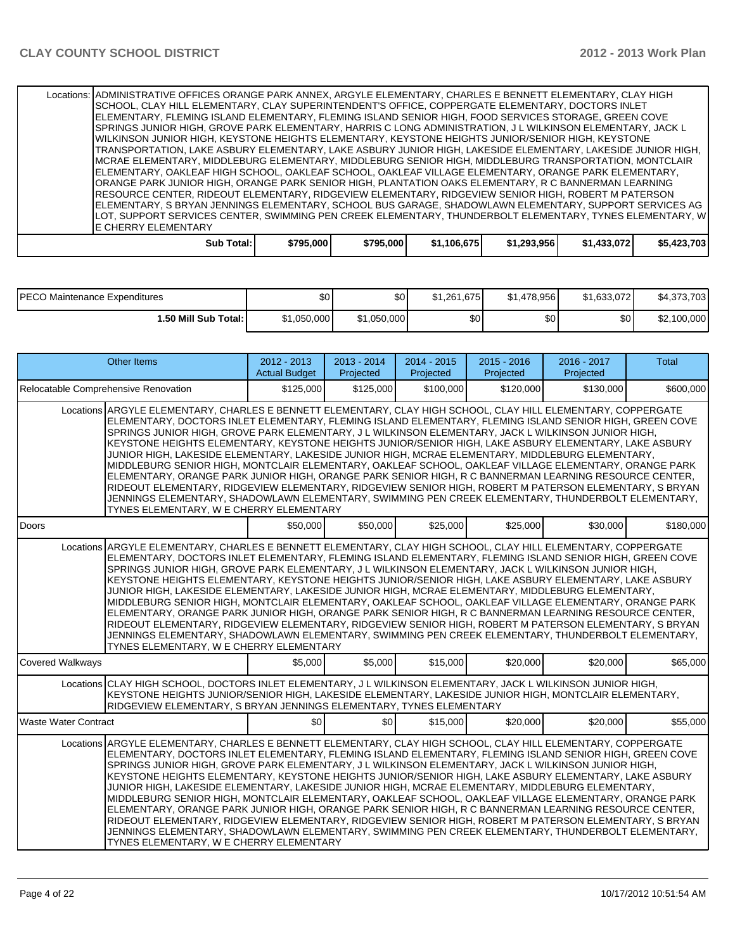| Locations: ADMINISTRATIVE OFFICES ORANGE PARK ANNEX, ARGYLE ELEMENTARY, CHARLES E BENNETT ELEMENTARY, CLAY HIGH |           |           |             |             |             |             |
|-----------------------------------------------------------------------------------------------------------------|-----------|-----------|-------------|-------------|-------------|-------------|
| SCHOOL, CLAY HILL ELEMENTARY, CLAY SUPERINTENDENT'S OFFICE, COPPERGATE ELEMENTARY, DOCTORS INLET                |           |           |             |             |             |             |
| ELEMENTARY, FLEMING ISLAND ELEMENTARY, FLEMING ISLAND SENIOR HIGH, FOOD SERVICES STORAGE, GREEN COVE            |           |           |             |             |             |             |
| SPRINGS JUNIOR HIGH, GROVE PARK ELEMENTARY, HARRIS C LONG ADMINISTRATION, J L WILKINSON ELEMENTARY, JACK L      |           |           |             |             |             |             |
| IWILKINSON JUNIOR HIGH. KEYSTONE HEIGHTS ELEMENTARY. KEYSTONE HEIGHTS JUNIOR/SENIOR HIGH. KEYSTONE              |           |           |             |             |             |             |
| TRANSPORTATION, LAKE ASBURY ELEMENTARY, LAKE ASBURY JUNIOR HIGH, LAKESIDE ELEMENTARY, LAKESIDE JUNIOR HIGH,     |           |           |             |             |             |             |
| IMCRAE ELEMENTARY, MIDDLEBURG ELEMENTARY, MIDDLEBURG SENIOR HIGH, MIDDLEBURG TRANSPORTATION, MONTCLAIR          |           |           |             |             |             |             |
| ELEMENTARY, OAKLEAF HIGH SCHOOL, OAKLEAF SCHOOL, OAKLEAF VILLAGE ELEMENTARY, ORANGE PARK ELEMENTARY,            |           |           |             |             |             |             |
| ORANGE PARK JUNIOR HIGH, ORANGE PARK SENIOR HIGH, PLANTATION OAKS ELEMENTARY, R C BANNERMAN LEARNING            |           |           |             |             |             |             |
| IRESOURCE CENTER, RIDEOUT ELEMENTARY, RIDGEVIEW ELEMENTARY, RIDGEVIEW SENIOR HIGH, ROBERT M PATERSON            |           |           |             |             |             |             |
| IELEMENTARY, S BRYAN JENNINGS ELEMENTARY, SCHOOL BUS GARAGE, SHADOWLAWN ELEMENTARY, SUPPORT SERVICES AG         |           |           |             |             |             |             |
| LOT. SUPPORT SERVICES CENTER. SWIMMING PEN CREEK ELEMENTARY. THUNDERBOLT ELEMENTARY. TYNES ELEMENTARY. WI       |           |           |             |             |             |             |
| <b>LE CHERRY ELEMENTARY</b>                                                                                     |           |           |             |             |             |             |
| Sub Total:                                                                                                      | \$795,000 | \$795,000 | \$1,106,675 | \$1,293,956 | \$1,433,072 | \$5,423,703 |

| <b>IPECO Maintenance Expenditures</b> | \$0         | \$0          | \$1.261.675      | \$1.478.956      | \$1.633.072 | \$4,373,703 |
|---------------------------------------|-------------|--------------|------------------|------------------|-------------|-------------|
| 1.50 Mill Sub Total: I                | \$1,050,000 | ا 1,050,000∎ | \$0 <sub>1</sub> | \$0 <sub>1</sub> | ا 30        | \$2,100,000 |

|                             | <b>Other Items</b>                                                                                                                                                                                                                                                                                                                                                                                                                                                                                                                                                                                                                                                                                                                                                                                                                                                                                                                                                                                                        | $2012 - 2013$<br><b>Actual Budget</b> | $2013 - 2014$<br>Projected | $2014 - 2015$<br>Projected | $2015 - 2016$<br>Projected | $2016 - 2017$<br>Projected | <b>Total</b> |
|-----------------------------|---------------------------------------------------------------------------------------------------------------------------------------------------------------------------------------------------------------------------------------------------------------------------------------------------------------------------------------------------------------------------------------------------------------------------------------------------------------------------------------------------------------------------------------------------------------------------------------------------------------------------------------------------------------------------------------------------------------------------------------------------------------------------------------------------------------------------------------------------------------------------------------------------------------------------------------------------------------------------------------------------------------------------|---------------------------------------|----------------------------|----------------------------|----------------------------|----------------------------|--------------|
|                             | Relocatable Comprehensive Renovation                                                                                                                                                                                                                                                                                                                                                                                                                                                                                                                                                                                                                                                                                                                                                                                                                                                                                                                                                                                      | \$125,000                             | \$125,000                  | \$100,000                  | \$120,000                  | \$130,000                  | \$600,000    |
|                             | Locations ARGYLE ELEMENTARY, CHARLES E BENNETT ELEMENTARY, CLAY HIGH SCHOOL, CLAY HILL ELEMENTARY, COPPERGATE<br>ELEMENTARY, DOCTORS INLET ELEMENTARY, FLEMING ISLAND ELEMENTARY, FLEMING ISLAND SENIOR HIGH, GREEN COVE<br>SPRINGS JUNIOR HIGH, GROVE PARK ELEMENTARY, J L WILKINSON ELEMENTARY, JACK L WILKINSON JUNIOR HIGH,<br>KEYSTONE HEIGHTS ELEMENTARY. KEYSTONE HEIGHTS JUNIOR/SENIOR HIGH. LAKE ASBURY ELEMENTARY. LAKE ASBURY<br>JUNIOR HIGH, LAKESIDE ELEMENTARY, LAKESIDE JUNIOR HIGH, MCRAE ELEMENTARY, MIDDLEBURG ELEMENTARY,<br>MIDDLEBURG SENIOR HIGH, MONTCLAIR ELEMENTARY, OAKLEAF SCHOOL, OAKLEAF VILLAGE ELEMENTARY, ORANGE PARK<br>ELEMENTARY, ORANGE PARK JUNIOR HIGH, ORANGE PARK SENIOR HIGH, R C BANNERMAN LEARNING RESOURCE CENTER,<br>RIDEOUT ELEMENTARY, RIDGEVIEW ELEMENTARY, RIDGEVIEW SENIOR HIGH, ROBERT M PATERSON ELEMENTARY, S BRYAN<br>JENNINGS ELEMENTARY, SHADOWLAWN ELEMENTARY, SWIMMING PEN CREEK ELEMENTARY, THUNDERBOLT ELEMENTARY,<br>TYNES ELEMENTARY, W E CHERRY ELEMENTARY |                                       |                            |                            |                            |                            |              |
| Doors                       |                                                                                                                                                                                                                                                                                                                                                                                                                                                                                                                                                                                                                                                                                                                                                                                                                                                                                                                                                                                                                           | \$50,000                              | \$50,000                   | \$25,000                   | \$25,000                   | \$30,000                   | \$180,000    |
|                             | Locations ARGYLE ELEMENTARY, CHARLES E BENNETT ELEMENTARY, CLAY HIGH SCHOOL, CLAY HILL ELEMENTARY, COPPERGATE<br>ELEMENTARY, DOCTORS INLET ELEMENTARY, FLEMING ISLAND ELEMENTARY, FLEMING ISLAND SENIOR HIGH, GREEN COVE<br>SPRINGS JUNIOR HIGH, GROVE PARK ELEMENTARY, J L WILKINSON ELEMENTARY, JACK L WILKINSON JUNIOR HIGH,<br>KEYSTONE HEIGHTS ELEMENTARY, KEYSTONE HEIGHTS JUNIOR/SENIOR HIGH, LAKE ASBURY ELEMENTARY, LAKE ASBURY<br>JUNIOR HIGH, LAKESIDE ELEMENTARY, LAKESIDE JUNIOR HIGH, MCRAE ELEMENTARY, MIDDLEBURG ELEMENTARY,<br>MIDDLEBURG SENIOR HIGH, MONTCLAIR ELEMENTARY, OAKLEAF SCHOOL, OAKLEAF VILLAGE ELEMENTARY, ORANGE PARK<br>ELEMENTARY, ORANGE PARK JUNIOR HIGH, ORANGE PARK SENIOR HIGH, R C BANNERMAN LEARNING RESOURCE CENTER,<br>RIDEOUT ELEMENTARY, RIDGEVIEW ELEMENTARY, RIDGEVIEW SENIOR HIGH, ROBERT M PATERSON ELEMENTARY, S BRYAN<br>JENNINGS ELEMENTARY, SHADOWLAWN ELEMENTARY, SWIMMING PEN CREEK ELEMENTARY, THUNDERBOLT ELEMENTARY,<br>TYNES ELEMENTARY, W E CHERRY ELEMENTARY |                                       |                            |                            |                            |                            |              |
| <b>Covered Walkways</b>     |                                                                                                                                                                                                                                                                                                                                                                                                                                                                                                                                                                                                                                                                                                                                                                                                                                                                                                                                                                                                                           | \$5.000                               | \$5,000                    | \$15,000                   | \$20,000                   | \$20,000                   | \$65,000     |
|                             | Locations CLAY HIGH SCHOOL, DOCTORS INLET ELEMENTARY, J L WILKINSON ELEMENTARY, JACK L WILKINSON JUNIOR HIGH,<br>KEYSTONE HEIGHTS JUNIOR/SENIOR HIGH, LAKESIDE ELEMENTARY, LAKESIDE JUNIOR HIGH, MONTCLAIR ELEMENTARY,<br>RIDGEVIEW ELEMENTARY, S BRYAN JENNINGS ELEMENTARY, TYNES ELEMENTARY                                                                                                                                                                                                                                                                                                                                                                                                                                                                                                                                                                                                                                                                                                                             |                                       |                            |                            |                            |                            |              |
| <b>Waste Water Contract</b> |                                                                                                                                                                                                                                                                                                                                                                                                                                                                                                                                                                                                                                                                                                                                                                                                                                                                                                                                                                                                                           | \$0                                   | \$0                        | \$15,000                   | \$20,000                   | \$20,000                   | \$55,000     |
|                             | Locations ARGYLE ELEMENTARY, CHARLES E BENNETT ELEMENTARY, CLAY HIGH SCHOOL, CLAY HILL ELEMENTARY, COPPERGATE<br>ELEMENTARY, DOCTORS INLET ELEMENTARY, FLEMING ISLAND ELEMENTARY, FLEMING ISLAND SENIOR HIGH, GREEN COVE<br>SPRINGS JUNIOR HIGH, GROVE PARK ELEMENTARY, J L WILKINSON ELEMENTARY, JACK L WILKINSON JUNIOR HIGH,<br>KEYSTONE HEIGHTS ELEMENTARY, KEYSTONE HEIGHTS JUNIOR/SENIOR HIGH, LAKE ASBURY ELEMENTARY, LAKE ASBURY<br>JUNIOR HIGH, LAKESIDE ELEMENTARY, LAKESIDE JUNIOR HIGH, MCRAE ELEMENTARY, MIDDLEBURG ELEMENTARY,<br>MIDDLEBURG SENIOR HIGH, MONTCLAIR ELEMENTARY, OAKLEAF SCHOOL, OAKLEAF VILLAGE ELEMENTARY, ORANGE PARK<br>ELEMENTARY, ORANGE PARK JUNIOR HIGH, ORANGE PARK SENIOR HIGH, R C BANNERMAN LEARNING RESOURCE CENTER,<br>RIDEOUT ELEMENTARY. RIDGEVIEW ELEMENTARY. RIDGEVIEW SENIOR HIGH. ROBERT M PATERSON ELEMENTARY. S BRYAN<br>JENNINGS ELEMENTARY, SHADOWLAWN ELEMENTARY, SWIMMING PEN CREEK ELEMENTARY, THUNDERBOLT ELEMENTARY,<br>TYNES ELEMENTARY, W E CHERRY ELEMENTARY |                                       |                            |                            |                            |                            |              |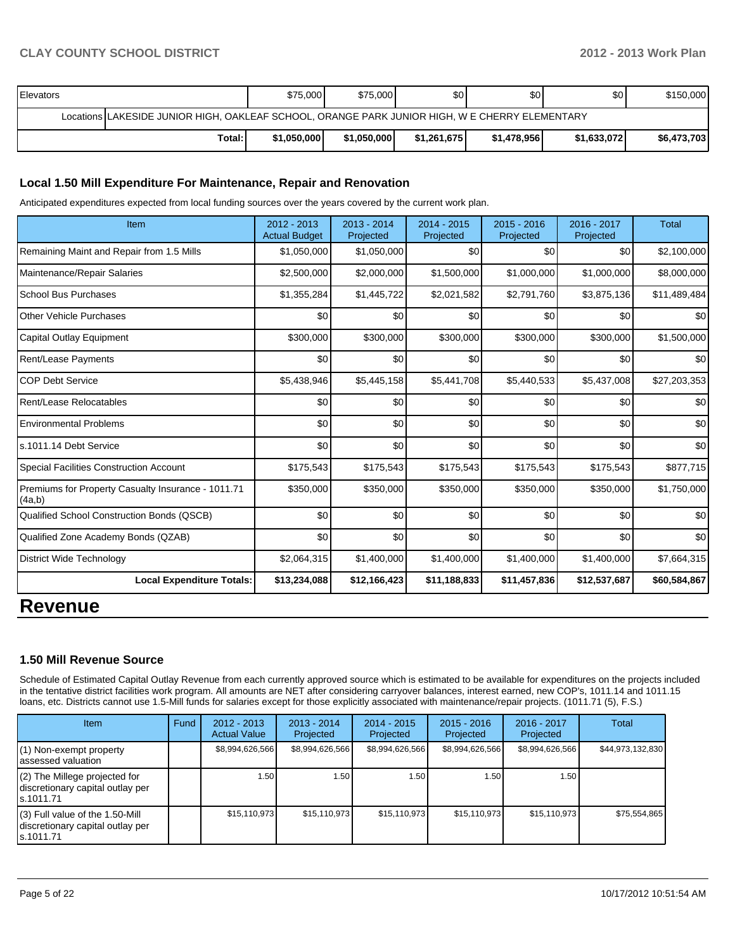| <b>IElevators</b> |                                                                                                | \$75,000    | \$75,000    | \$0         | \$0         | \$0 <sub>1</sub> | \$150,000   |  |
|-------------------|------------------------------------------------------------------------------------------------|-------------|-------------|-------------|-------------|------------------|-------------|--|
|                   | Locations LAKESIDE JUNIOR HIGH, OAKLEAF SCHOOL, ORANGE PARK JUNIOR HIGH, W E CHERRY ELEMENTARY |             |             |             |             |                  |             |  |
|                   | Total:                                                                                         | \$1,050,000 | \$1.050.000 | \$1,261,675 | \$1,478,956 | \$1,633,072      | \$6,473,703 |  |

#### **Local 1.50 Mill Expenditure For Maintenance, Repair and Renovation**

Anticipated expenditures expected from local funding sources over the years covered by the current work plan.

| Item                                                         | 2012 - 2013<br><b>Actual Budget</b> | $2013 - 2014$<br>Projected | $2014 - 2015$<br>Projected | 2015 - 2016<br>Projected | 2016 - 2017<br>Projected | <b>Total</b> |
|--------------------------------------------------------------|-------------------------------------|----------------------------|----------------------------|--------------------------|--------------------------|--------------|
| Remaining Maint and Repair from 1.5 Mills                    | \$1,050,000                         | \$1,050,000                | \$0                        | \$0                      | \$0                      | \$2,100,000  |
| Maintenance/Repair Salaries                                  | \$2,500,000                         | \$2,000,000                | \$1,500,000                | \$1,000,000              | \$1,000,000              | \$8,000,000  |
| School Bus Purchases                                         | \$1,355,284                         | \$1,445,722                | \$2,021,582                | \$2,791,760              | \$3,875,136              | \$11,489,484 |
| <b>Other Vehicle Purchases</b>                               | \$0                                 | \$0                        | \$0                        | \$0                      | \$0                      | \$0          |
| Capital Outlay Equipment                                     | \$300,000                           | \$300,000                  | \$300,000                  | \$300,000                | \$300,000                | \$1,500,000  |
| <b>Rent/Lease Payments</b>                                   | \$0                                 | \$0                        | \$0                        | \$0                      | \$0                      | \$0          |
| <b>COP Debt Service</b>                                      | \$5,438,946                         | \$5,445,158                | \$5,441,708                | \$5,440,533              | \$5,437,008              | \$27,203,353 |
| Rent/Lease Relocatables                                      | \$0                                 | \$0                        | \$0                        | \$0                      | \$0                      | \$0          |
| <b>Environmental Problems</b>                                | \$0                                 | \$0                        | \$0                        | \$0                      | \$0                      | \$0          |
| s.1011.14 Debt Service                                       | \$0                                 | \$0                        | \$0                        | \$0                      | \$0                      | \$0          |
| <b>Special Facilities Construction Account</b>               | \$175,543                           | \$175,543                  | \$175,543                  | \$175,543                | \$175,543                | \$877,715    |
| Premiums for Property Casualty Insurance - 1011.71<br>(4a,b) | \$350,000                           | \$350,000                  | \$350,000                  | \$350,000                | \$350,000                | \$1,750,000  |
| Qualified School Construction Bonds (QSCB)                   | \$0                                 | \$0                        | \$0                        | \$0                      | \$0                      | \$0          |
| Qualified Zone Academy Bonds (QZAB)                          | \$0                                 | \$0                        | \$0                        | \$0                      | \$0                      | \$0          |
| <b>District Wide Technology</b>                              | \$2,064,315                         | \$1,400,000                | \$1,400,000                | \$1,400,000              | \$1,400,000              | \$7,664,315  |
| <b>Local Expenditure Totals:</b>                             | \$13,234,088                        | \$12,166,423               | \$11,188,833               | \$11,457,836             | \$12,537,687             | \$60,584,867 |

# **Revenue**

### **1.50 Mill Revenue Source**

Schedule of Estimated Capital Outlay Revenue from each currently approved source which is estimated to be available for expenditures on the projects included in the tentative district facilities work program. All amounts are NET after considering carryover balances, interest earned, new COP's, 1011.14 and 1011.15 loans, etc. Districts cannot use 1.5-Mill funds for salaries except for those explicitly associated with maintenance/repair projects. (1011.71 (5), F.S.)

| <b>Item</b>                                                                         | Fund | $2012 - 2013$<br><b>Actual Value</b> | $2013 - 2014$<br>Projected | $2014 - 2015$<br>Projected | $2015 - 2016$<br>Projected | $2016 - 2017$<br>Projected | Total            |
|-------------------------------------------------------------------------------------|------|--------------------------------------|----------------------------|----------------------------|----------------------------|----------------------------|------------------|
| $(1)$ Non-exempt property<br>lassessed valuation                                    |      | \$8,994,626,566                      | \$8,994,626,566            | \$8,994,626,566            | \$8,994,626,566            | \$8,994,626,566            | \$44,973,132,830 |
| $(2)$ The Millege projected for<br>discretionary capital outlay per<br>ls.1011.71   |      | 1.50                                 | .501                       | 1.50                       | 1.50 <sub>l</sub>          | 1.50                       |                  |
| $(3)$ Full value of the 1.50-Mill<br>discretionary capital outlay per<br>ls.1011.71 |      | \$15,110,973                         | \$15.110.973               | \$15, 110, 973             | \$15,110,973               | \$15,110,973               | \$75,554,865     |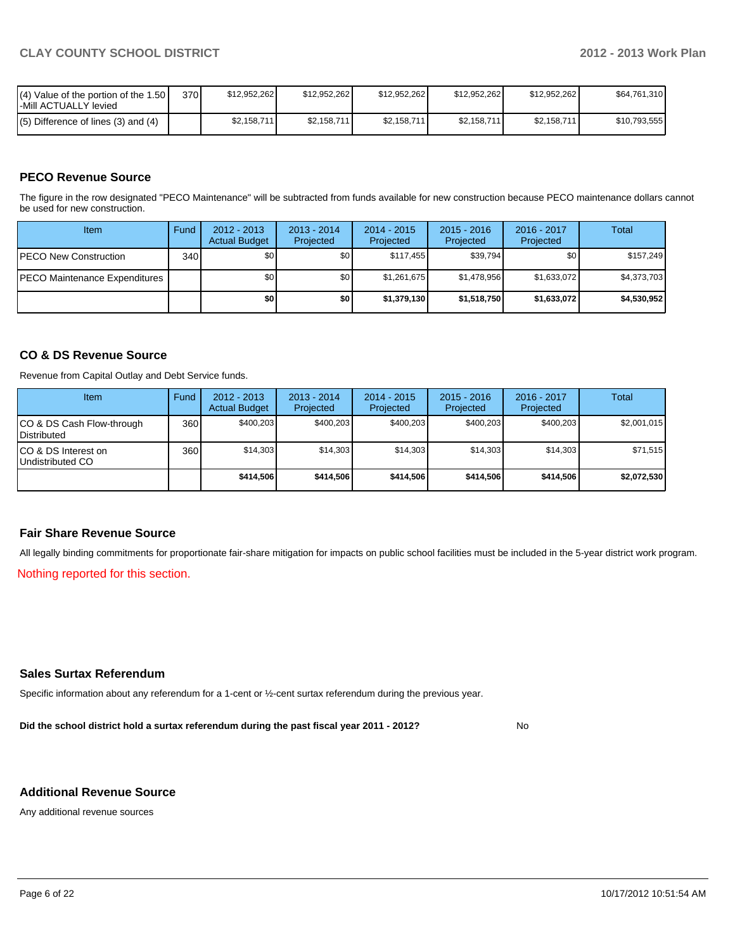| $\mathsf{I}(\mathsf{4})$ Value of the portion of the 1.50 $\mathsf{I}$<br>-Mill ACTUALLY levied | 370 | \$12.952.262 | \$12,952,262 | \$12.952.262 | \$12,952,262 | \$12.952.262 | \$64.761.310 |
|-------------------------------------------------------------------------------------------------|-----|--------------|--------------|--------------|--------------|--------------|--------------|
| $(5)$ Difference of lines (3) and (4)                                                           |     | \$2,158,711  | \$2,158,711  | \$2,158,711  | \$2,158,711  | \$2,158,711  | \$10.793.555 |

### **PECO Revenue Source**

The figure in the row designated "PECO Maintenance" will be subtracted from funds available for new construction because PECO maintenance dollars cannot be used for new construction.

| Item                                 | Fund | $2012 - 2013$<br><b>Actual Budget</b> | $2013 - 2014$<br>Projected | $2014 - 2015$<br>Projected | $2015 - 2016$<br>Projected | 2016 - 2017<br>Projected | Total       |
|--------------------------------------|------|---------------------------------------|----------------------------|----------------------------|----------------------------|--------------------------|-------------|
| <b>IPECO New Construction</b>        | 340  | \$0                                   | \$0                        | \$117.455                  | \$39,794                   | \$0                      | \$157,249   |
| <b>PECO Maintenance Expenditures</b> |      | \$0                                   | \$0                        | \$1,261,675                | \$1,478,956                | \$1,633,072              | \$4,373,703 |
|                                      |      | \$0                                   | \$0                        | \$1,379,130                | \$1,518,750                | \$1,633,072              | \$4,530,952 |

### **CO & DS Revenue Source**

Revenue from Capital Outlay and Debt Service funds.

| <b>Item</b>                                     | Fund | $2012 - 2013$<br><b>Actual Budget</b> | $2013 - 2014$<br>Projected | $2014 - 2015$<br>Projected | $2015 - 2016$<br>Projected | $2016 - 2017$<br>Projected | Total       |
|-------------------------------------------------|------|---------------------------------------|----------------------------|----------------------------|----------------------------|----------------------------|-------------|
| CO & DS Cash Flow-through<br><b>Distributed</b> | 360  | \$400.203                             | \$400,203                  | \$400.203                  | \$400.203                  | \$400,203                  | \$2,001,015 |
| CO & DS Interest on<br>Undistributed CO         | 360  | \$14.303                              | \$14.303                   | \$14.303                   | \$14.303                   | \$14,303                   | \$71,515    |
|                                                 |      | \$414,506                             | \$414,506                  | \$414,506                  | \$414.506                  | \$414.506                  | \$2,072,530 |

#### **Fair Share Revenue Source**

All legally binding commitments for proportionate fair-share mitigation for impacts on public school facilities must be included in the 5-year district work program.

Nothing reported for this section.

#### **Sales Surtax Referendum**

Specific information about any referendum for a 1-cent or ½-cent surtax referendum during the previous year.

**Did the school district hold a surtax referendum during the past fiscal year 2011 - 2012?**

No

#### **Additional Revenue Source**

Any additional revenue sources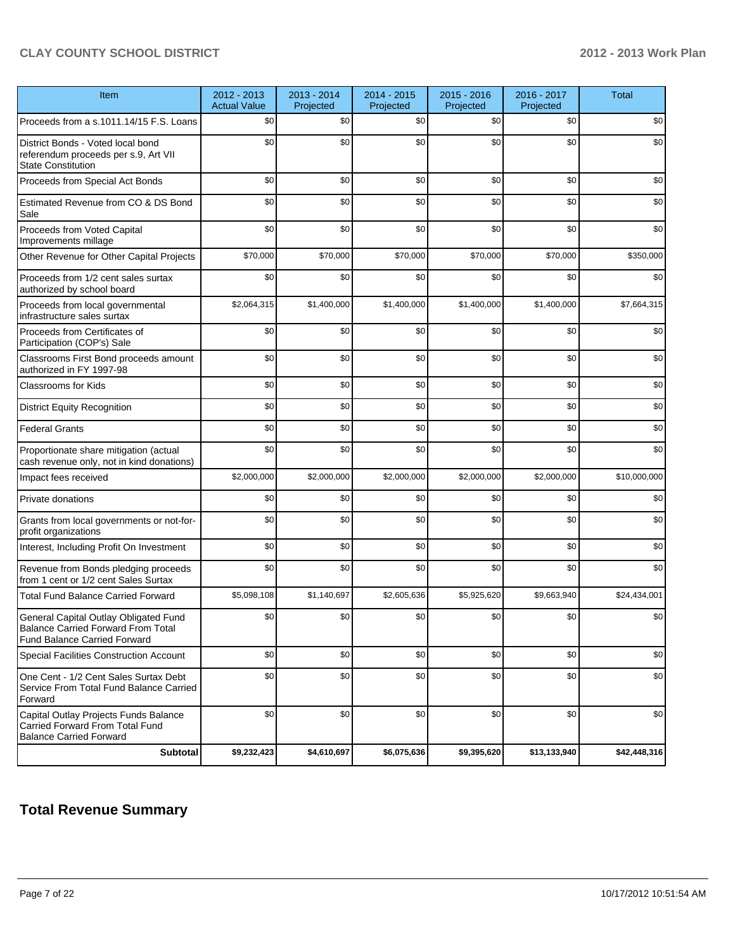| Item                                                                                                                      | 2012 - 2013<br><b>Actual Value</b> | 2013 - 2014<br>Projected | 2014 - 2015<br>Projected | 2015 - 2016<br>Projected | 2016 - 2017<br>Projected | <b>Total</b>     |
|---------------------------------------------------------------------------------------------------------------------------|------------------------------------|--------------------------|--------------------------|--------------------------|--------------------------|------------------|
| Proceeds from a s.1011.14/15 F.S. Loans                                                                                   | \$0                                | \$0                      | \$0                      | \$0                      | \$0                      | \$0              |
| District Bonds - Voted local bond<br>referendum proceeds per s.9, Art VII<br><b>State Constitution</b>                    | \$0                                | \$0                      | \$0                      | \$0                      | \$0                      | \$0              |
| Proceeds from Special Act Bonds                                                                                           | \$0                                | \$0                      | \$0                      | \$0                      | \$0                      | \$0              |
| Estimated Revenue from CO & DS Bond<br>Sale                                                                               | \$0                                | \$0                      | \$0                      | \$0                      | \$0                      | \$0              |
| Proceeds from Voted Capital<br>Improvements millage                                                                       | \$0                                | \$0                      | \$0                      | \$0                      | \$0                      | \$0 <sub>1</sub> |
| Other Revenue for Other Capital Projects                                                                                  | \$70,000                           | \$70,000                 | \$70,000                 | \$70,000                 | \$70,000                 | \$350,000        |
| Proceeds from 1/2 cent sales surtax<br>authorized by school board                                                         | \$0                                | \$0                      | \$0                      | \$0                      | \$0                      | \$0              |
| Proceeds from local governmental<br>infrastructure sales surtax                                                           | \$2,064,315                        | \$1,400,000              | \$1,400,000              | \$1,400,000              | \$1,400,000              | \$7,664,315      |
| Proceeds from Certificates of<br>Participation (COP's) Sale                                                               | \$0                                | \$0                      | \$0                      | \$0                      | \$0                      | \$0              |
| Classrooms First Bond proceeds amount<br>authorized in FY 1997-98                                                         | \$0                                | \$0                      | \$0                      | \$0                      | \$0                      | \$0              |
| <b>Classrooms for Kids</b>                                                                                                | \$0                                | \$0                      | \$0                      | \$0                      | \$0                      | \$0              |
| <b>District Equity Recognition</b>                                                                                        | \$0                                | \$0                      | \$0                      | \$0                      | \$0                      | \$0              |
| <b>Federal Grants</b>                                                                                                     | \$0                                | \$0                      | \$0                      | \$0                      | \$0                      | \$0              |
| Proportionate share mitigation (actual<br>cash revenue only, not in kind donations)                                       | \$0                                | \$0                      | \$0                      | \$0                      | \$0                      | \$0              |
| Impact fees received                                                                                                      | \$2,000,000                        | \$2,000,000              | \$2,000,000              | \$2,000,000              | \$2,000,000              | \$10,000,000     |
| Private donations                                                                                                         | \$0                                | \$0                      | \$0                      | \$0                      | \$0                      | \$0              |
| Grants from local governments or not-for-<br>profit organizations                                                         | \$0                                | \$0                      | \$0                      | \$0                      | \$0                      | \$0              |
| Interest, Including Profit On Investment                                                                                  | \$0                                | \$0                      | \$0                      | \$0                      | \$0                      | \$0              |
| Revenue from Bonds pledging proceeds<br>from 1 cent or 1/2 cent Sales Surtax                                              | \$0                                | \$0                      | \$0                      | \$0                      | \$0                      | \$0              |
| <b>Total Fund Balance Carried Forward</b>                                                                                 | \$5,098,108                        | \$1,140,697              | \$2,605,636              | \$5,925,620              | \$9,663,940              | \$24,434,001     |
| General Capital Outlay Obligated Fund<br><b>Balance Carried Forward From Total</b><br><b>Fund Balance Carried Forward</b> | \$0                                | \$0                      | \$0                      | \$0                      | \$0                      | \$0              |
| <b>Special Facilities Construction Account</b>                                                                            | \$0                                | \$0                      | \$0                      | \$0                      | \$0                      | \$0              |
| One Cent - 1/2 Cent Sales Surtax Debt<br>Service From Total Fund Balance Carried<br>Forward                               | \$0                                | \$0                      | \$0                      | \$0                      | \$0                      | \$0              |
| Capital Outlay Projects Funds Balance<br>Carried Forward From Total Fund<br><b>Balance Carried Forward</b>                | \$0                                | \$0                      | \$0                      | \$0                      | \$0                      | \$0              |
| <b>Subtotal</b>                                                                                                           | \$9,232,423                        | \$4,610,697              | \$6,075,636              | \$9,395,620              | \$13,133,940             | \$42,448,316     |

## **Total Revenue Summary**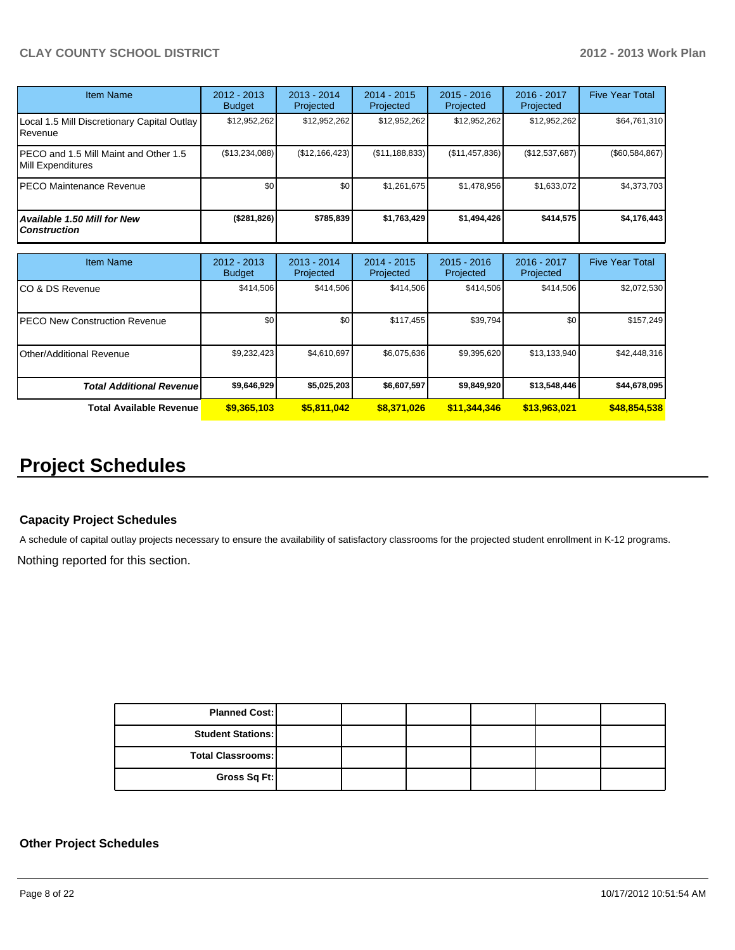| <b>Item Name</b>                                           | 2012 - 2013<br><b>Budget</b> | $2013 - 2014$<br>Projected | $2014 - 2015$<br><b>Projected</b> | $2015 - 2016$<br>Projected | $2016 - 2017$<br>Projected | <b>Five Year Total</b> |
|------------------------------------------------------------|------------------------------|----------------------------|-----------------------------------|----------------------------|----------------------------|------------------------|
| Local 1.5 Mill Discretionary Capital Outlay<br>Revenue     | \$12,952,262                 | \$12,952,262               | \$12,952,262                      | \$12,952,262               | \$12,952,262               | \$64,761,310           |
| PECO and 1.5 Mill Maint and Other 1.5<br>Mill Expenditures | (\$13,234,088)               | (\$12,166,423)             | (S11, 188, 833)                   | (\$11,457,836)             | (\$12,537,687)             | (\$60,584,867)         |
| PECO Maintenance Revenue                                   | \$0 <sub>1</sub>             | \$0                        | \$1,261,675                       | \$1,478,956                | \$1,633,072                | \$4,373,703            |
| <b>Available 1.50 Mill for New</b><br><b>Construction</b>  | (\$281,826)                  | \$785,839                  | \$1,763,429                       | \$1,494,426                | \$414,575                  | \$4,176,443            |

| <b>Item Name</b>                     | 2012 - 2013<br><b>Budget</b> | 2013 - 2014<br>Projected | $2014 - 2015$<br>Projected | $2015 - 2016$<br>Projected | $2016 - 2017$<br>Projected | <b>Five Year Total</b> |
|--------------------------------------|------------------------------|--------------------------|----------------------------|----------------------------|----------------------------|------------------------|
| CO & DS Revenue                      | \$414,506                    | \$414,506                | \$414,506                  | \$414,506                  | \$414,506                  | \$2,072,530            |
| <b>PECO New Construction Revenue</b> | \$0                          | \$0                      | \$117.455                  | \$39,794                   | \$0 <sub>1</sub>           | \$157.249              |
| <b>Other/Additional Revenue</b>      | \$9,232,423                  | \$4,610,697              | \$6,075,636                | \$9,395,620                | \$13,133,940               | \$42,448,316           |
| <b>Total Additional Revenuel</b>     | \$9,646,929                  | \$5,025,203              | \$6,607,597                | \$9,849,920                | \$13,548,446               | \$44,678,095           |
| <b>Total Available Revenue</b>       | \$9,365,103                  | \$5,811,042              | \$8,371,026                | \$11,344,346               | \$13,963,021               | \$48,854,538           |

# **Project Schedules**

### **Capacity Project Schedules**

A schedule of capital outlay projects necessary to ensure the availability of satisfactory classrooms for the projected student enrollment in K-12 programs.

Nothing reported for this section.

| <b>Planned Cost:</b>     |  |  |  |
|--------------------------|--|--|--|
| <b>Student Stations:</b> |  |  |  |
| <b>Total Classrooms:</b> |  |  |  |
| Gross Sq Ft:             |  |  |  |

### **Other Project Schedules**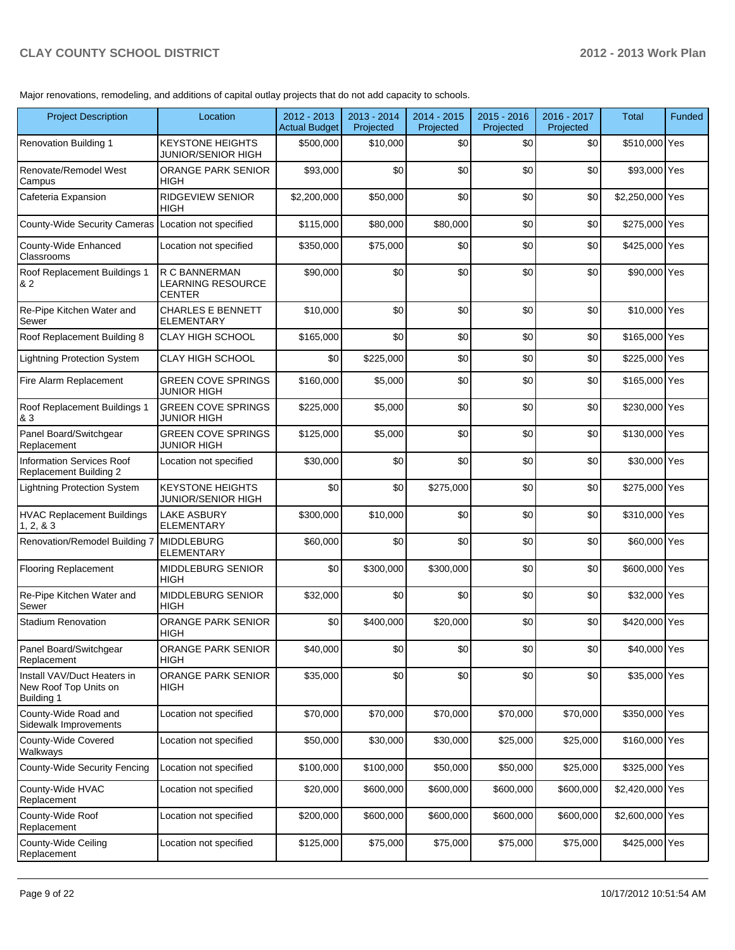Major renovations, remodeling, and additions of capital outlay projects that do not add capacity to schools.

| <b>Project Description</b>                                                | Location                                             | $2012 - 2013$<br>Actual Budget | 2013 - 2014<br>Projected | 2014 - 2015<br>Projected | $2015 - 2016$<br>Projected | 2016 - 2017<br>Projected | <b>Total</b>    | <b>Funded</b> |
|---------------------------------------------------------------------------|------------------------------------------------------|--------------------------------|--------------------------|--------------------------|----------------------------|--------------------------|-----------------|---------------|
| <b>Renovation Building 1</b>                                              | <b>KEYSTONE HEIGHTS</b><br>JUNIOR/SENIOR HIGH        | \$500.000                      | \$10,000                 | \$0                      | \$0                        | \$0                      | \$510,000 Yes   |               |
| Renovate/Remodel West<br>Campus                                           | <b>ORANGE PARK SENIOR</b><br><b>HIGH</b>             | \$93,000                       | \$0                      | \$0                      | \$0                        | \$0                      | \$93,000 Yes    |               |
| Cafeteria Expansion                                                       | <b>RIDGEVIEW SENIOR</b><br><b>HIGH</b>               | \$2,200,000                    | \$50,000                 | \$0                      | \$0                        | \$0                      | \$2,250,000 Yes |               |
| County-Wide Security Cameras Location not specified                       |                                                      | \$115,000                      | \$80,000                 | \$80,000                 | \$0                        | \$0                      | \$275,000 Yes   |               |
| County-Wide Enhanced<br>Classrooms                                        | Location not specified                               | \$350,000                      | \$75,000                 | \$0                      | \$0                        | \$0                      | \$425,000 Yes   |               |
| Roof Replacement Buildings 1<br>& 2                                       | R C BANNERMAN<br>LEARNING RESOURCE<br><b>CENTER</b>  | \$90,000                       | \$0                      | \$0                      | \$0                        | \$0                      | \$90,000 Yes    |               |
| Re-Pipe Kitchen Water and<br>Sewer                                        | <b>CHARLES E BENNETT</b><br><b>ELEMENTARY</b>        | \$10,000                       | \$0                      | \$0                      | \$0                        | \$0                      | \$10,000 Yes    |               |
| Roof Replacement Building 8                                               | <b>CLAY HIGH SCHOOL</b>                              | \$165,000                      | \$0                      | \$0                      | \$0                        | \$0                      | \$165,000 Yes   |               |
| <b>Lightning Protection System</b>                                        | <b>CLAY HIGH SCHOOL</b>                              | \$0                            | \$225,000                | \$0                      | \$0                        | \$0                      | \$225,000 Yes   |               |
| Fire Alarm Replacement                                                    | <b>GREEN COVE SPRINGS</b><br>JUNIOR HIGH             | \$160,000                      | \$5,000                  | \$0                      | \$0                        | \$0                      | \$165,000 Yes   |               |
| Roof Replacement Buildings 1<br>& 3                                       | <b>GREEN COVE SPRINGS</b><br>JUNIOR HIGH             | \$225,000                      | \$5,000                  | \$0                      | \$0                        | \$0                      | \$230,000 Yes   |               |
| Panel Board/Switchgear<br>Replacement                                     | <b>GREEN COVE SPRINGS</b><br><b>JUNIOR HIGH</b>      | \$125,000                      | \$5,000                  | \$0                      | \$0                        | \$0                      | \$130,000 Yes   |               |
| Information Services Roof<br>Replacement Building 2                       | Location not specified                               | \$30,000                       | \$0                      | \$0                      | \$0                        | \$0                      | \$30,000 Yes    |               |
| <b>Lightning Protection System</b>                                        | <b>KEYSTONE HEIGHTS</b><br><b>JUNIOR/SENIOR HIGH</b> | \$0                            | \$0                      | \$275,000                | \$0                        | \$0                      | \$275,000 Yes   |               |
| <b>HVAC Replacement Buildings</b><br>1, 2, 8, 3                           | <b>LAKE ASBURY</b><br><b>ELEMENTARY</b>              | \$300,000                      | \$10,000                 | \$0                      | \$0                        | \$0                      | \$310,000 Yes   |               |
| Renovation/Remodel Building 7                                             | <b>MIDDLEBURG</b><br><b>ELEMENTARY</b>               | \$60,000                       | \$0                      | \$0                      | \$0                        | \$0                      | \$60,000 Yes    |               |
| <b>Flooring Replacement</b>                                               | <b>MIDDLEBURG SENIOR</b><br><b>HIGH</b>              | \$0                            | \$300,000                | \$300,000                | \$0                        | \$0                      | \$600,000 Yes   |               |
| Re-Pipe Kitchen Water and<br>Sewer                                        | MIDDLEBURG SENIOR<br><b>HIGH</b>                     | \$32,000                       | \$0                      | \$0                      | \$0                        | \$0                      | \$32,000 Yes    |               |
| <b>Stadium Renovation</b>                                                 | <b>ORANGE PARK SENIOR</b><br>HIGH                    | \$0                            | \$400,000                | \$20,000                 | \$0                        | \$0                      | \$420,000 Yes   |               |
| Panel Board/Switchgear<br>Replacement                                     | ORANGE PARK SENIOR<br><b>HIGH</b>                    | \$40,000                       | \$0                      | \$0                      | \$0                        | \$0                      | \$40,000 Yes    |               |
| Install VAV/Duct Heaters in<br>New Roof Top Units on<br><b>Building 1</b> | ORANGE PARK SENIOR<br>HIGH                           | \$35,000                       | \$0                      | \$0                      | \$0                        | \$0                      | \$35,000 Yes    |               |
| County-Wide Road and<br>Sidewalk Improvements                             | Location not specified                               | \$70,000                       | \$70,000                 | \$70,000                 | \$70,000                   | \$70,000                 | \$350,000 Yes   |               |
| County-Wide Covered<br>Walkways                                           | Location not specified                               | \$50,000                       | \$30,000                 | \$30,000                 | \$25,000                   | \$25,000                 | \$160,000 Yes   |               |
| County-Wide Security Fencing                                              | Location not specified                               | \$100,000                      | \$100,000                | \$50,000                 | \$50,000                   | \$25,000                 | \$325,000 Yes   |               |
| County-Wide HVAC<br>Replacement                                           | Location not specified                               | \$20,000                       | \$600,000                | \$600,000                | \$600,000                  | \$600,000                | \$2,420,000 Yes |               |
| County-Wide Roof<br>Replacement                                           | Location not specified                               | \$200,000                      | \$600,000                | \$600,000                | \$600,000                  | \$600,000                | \$2,600,000 Yes |               |
| County-Wide Ceiling<br>Replacement                                        | Location not specified                               | \$125,000                      | \$75,000                 | \$75,000                 | \$75,000                   | \$75,000                 | \$425,000 Yes   |               |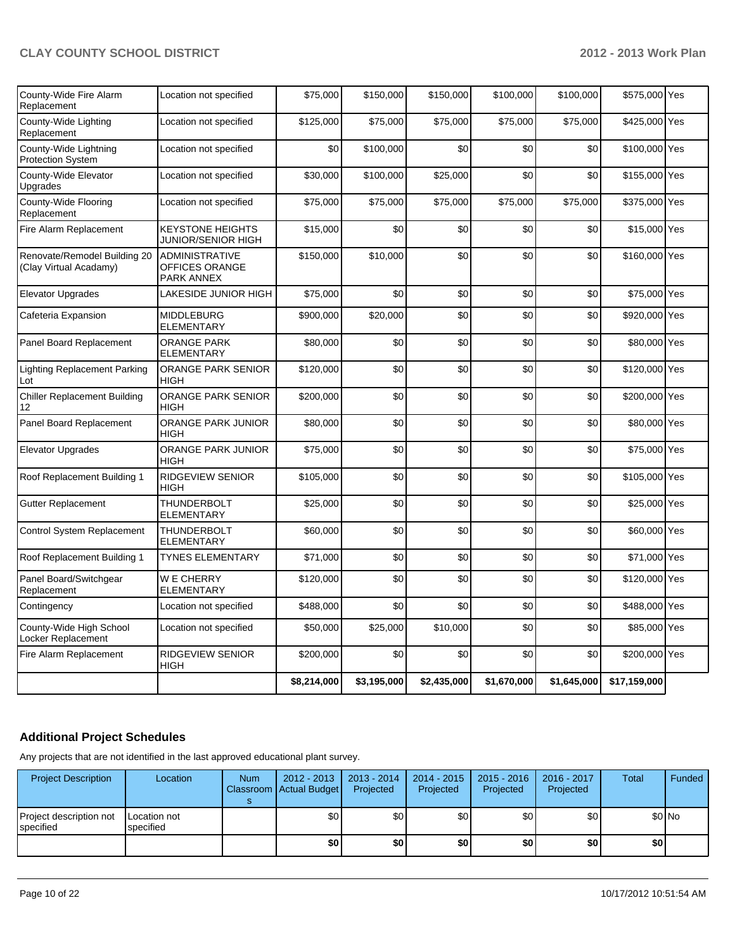|                                                        |                                                              | \$8,214,000 | \$3,195,000 | \$2,435,000 | \$1,670,000 | \$1,645,000 | \$17,159,000  |  |
|--------------------------------------------------------|--------------------------------------------------------------|-------------|-------------|-------------|-------------|-------------|---------------|--|
| Fire Alarm Replacement                                 | RIDGEVIEW SENIOR<br>HIGH                                     | \$200,000   | \$0         | \$0         | \$0         | \$0         | \$200,000 Yes |  |
| County-Wide High School<br>Locker Replacement          | Location not specified                                       | \$50,000    | \$25,000    | \$10,000    | \$0         | \$0         | \$85,000 Yes  |  |
| Contingency                                            | Location not specified                                       | \$488,000   | \$0         | \$0         | \$0         | \$0         | \$488,000 Yes |  |
| Panel Board/Switchgear<br>Replacement                  | <b>WE CHERRY</b><br>ELEMENTARY                               | \$120,000   | \$0         | \$0         | \$0         | \$0         | \$120,000 Yes |  |
| Roof Replacement Building 1                            | <b>TYNES ELEMENTARY</b>                                      | \$71,000    | \$0         | \$0         | \$0         | \$0         | \$71,000 Yes  |  |
| <b>Control System Replacement</b>                      | <b>THUNDERBOLT</b><br><b>ELEMENTARY</b>                      | \$60,000    | \$0         | \$0         | \$0         | \$0         | \$60,000 Yes  |  |
| Gutter Replacement                                     | <b>THUNDERBOLT</b><br><b>ELEMENTARY</b>                      | \$25,000    | \$0         | \$0         | \$0         | \$0         | \$25,000 Yes  |  |
| Roof Replacement Building 1                            | RIDGEVIEW SENIOR<br><b>HIGH</b>                              | \$105,000   | \$0         | \$0         | \$0         | \$0         | \$105,000 Yes |  |
| <b>Elevator Upgrades</b>                               | <b>ORANGE PARK JUNIOR</b><br><b>HIGH</b>                     | \$75,000    | \$0         | \$0         | \$0         | \$0         | \$75,000 Yes  |  |
| Panel Board Replacement                                | <b>ORANGE PARK JUNIOR</b><br><b>HIGH</b>                     | \$80,000    | \$0         | \$0         | \$0         | \$0         | \$80,000 Yes  |  |
| <b>Chiller Replacement Building</b><br>12              | ORANGE PARK SENIOR<br><b>HIGH</b>                            | \$200,000   | \$0         | \$0         | \$0         | \$0         | \$200,000 Yes |  |
| <b>Lighting Replacement Parking</b><br>Lot             | ORANGE PARK SENIOR<br><b>HIGH</b>                            | \$120,000   | \$0         | \$0         | \$0         | \$0         | \$120,000 Yes |  |
| Panel Board Replacement                                | <b>ORANGE PARK</b><br>ELEMENTARY                             | \$80,000    | \$0         | \$0         | \$0         | \$0         | \$80,000 Yes  |  |
| Cafeteria Expansion                                    | <b>MIDDLEBURG</b><br>ELEMENTARY                              | \$900,000   | \$20,000    | \$0         | \$0         | \$0         | \$920,000 Yes |  |
| Elevator Upgrades                                      | LAKESIDE JUNIOR HIGH                                         | \$75,000    | \$0         | \$0         | \$0         | \$0         | \$75,000 Yes  |  |
| Renovate/Remodel Building 20<br>(Clay Virtual Acadamy) | <b>ADMINISTRATIVE</b><br>OFFICES ORANGE<br><b>PARK ANNEX</b> | \$150,000   | \$10,000    | \$0         | \$0         | \$0         | \$160,000 Yes |  |
| Fire Alarm Replacement                                 | <b>KEYSTONE HEIGHTS</b><br>JUNIOR/SENIOR HIGH                | \$15,000    | \$0         | \$0         | \$0         | \$0         | \$15,000 Yes  |  |
| County-Wide Flooring<br>Replacement                    | Location not specified                                       | \$75,000    | \$75,000    | \$75,000    | \$75,000    | \$75,000    | \$375,000 Yes |  |
| County-Wide Elevator<br>Upgrades                       | Location not specified                                       | \$30,000    | \$100,000   | \$25,000    | \$0         | \$0         | \$155,000 Yes |  |
| County-Wide Lightning<br>Protection System             | Location not specified                                       | \$0         | \$100,000   | \$0         | \$0         | \$0         | \$100,000 Yes |  |
| County-Wide Lighting<br>Replacement                    | Location not specified                                       | \$125,000   | \$75,000    | \$75,000    | \$75,000    | \$75,000    | \$425,000 Yes |  |
| County-Wide Fire Alarm<br>Replacement                  | Location not specified                                       | \$75,000    | \$150,000   | \$150,000   | \$100,000   | \$100,000   | \$575,000 Yes |  |

### **Additional Project Schedules**

Any projects that are not identified in the last approved educational plant survey.

| <b>Project Description</b>           | Location                         | <b>Num</b> | $2012 - 2013$<br>Classroom   Actual Budget | $2013 - 2014$<br>Projected | 2014 - 2015<br>Projected | 2015 - 2016<br>Projected | 2016 - 2017<br>Projected | Total | Funded  |
|--------------------------------------|----------------------------------|------------|--------------------------------------------|----------------------------|--------------------------|--------------------------|--------------------------|-------|---------|
| Project description not<br>specified | <b>Location not</b><br>specified |            | \$0                                        | \$0                        | \$0 <sub>1</sub>         | \$0                      | \$0                      |       | $$0$ No |
|                                      |                                  |            | \$0                                        | \$0                        | \$0                      | \$0                      | \$0                      | \$0   |         |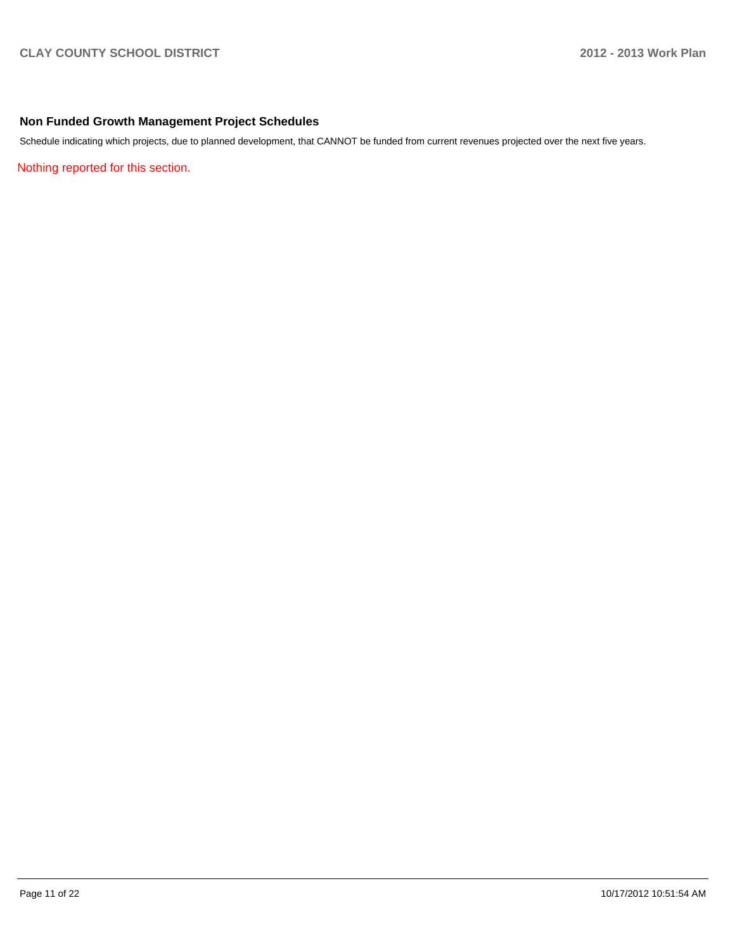### **Non Funded Growth Management Project Schedules**

Schedule indicating which projects, due to planned development, that CANNOT be funded from current revenues projected over the next five years.

Nothing reported for this section.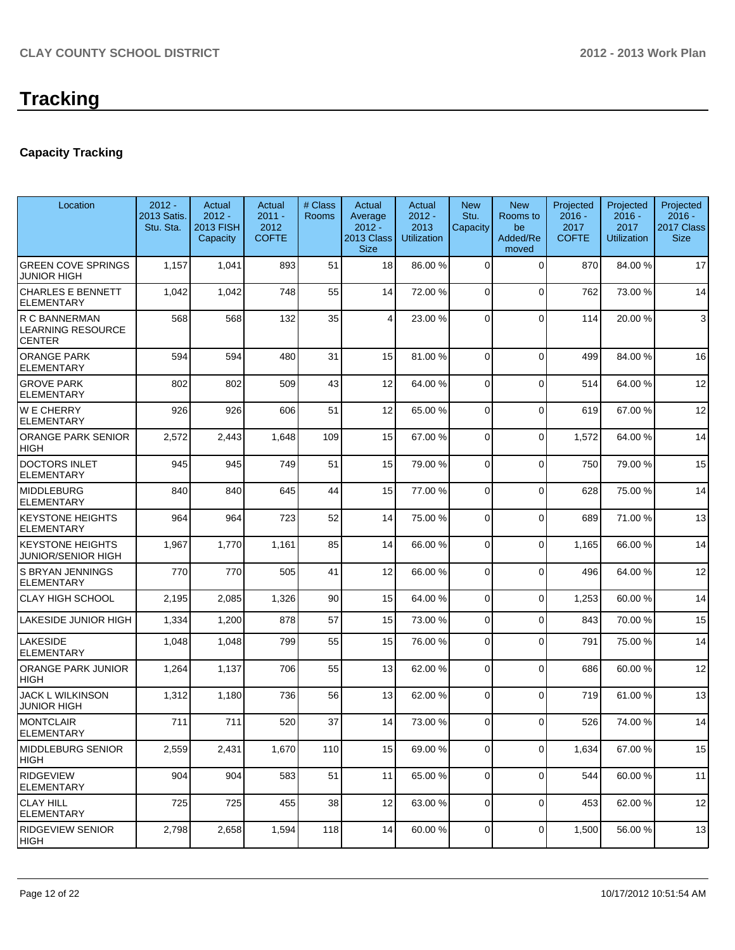### **Capacity Tracking**

| Location                                                   | $2012 -$<br>2013 Satis.<br>Stu. Sta. | Actual<br>$2012 -$<br><b>2013 FISH</b><br>Capacity | Actual<br>$2011 -$<br>2012<br><b>COFTE</b> | # Class<br><b>Rooms</b> | Actual<br>Average<br>$2012 -$<br>2013 Class<br><b>Size</b> | Actual<br>$2012 -$<br>2013<br><b>Utilization</b> | <b>New</b><br>Stu.<br>Capacity | <b>New</b><br>Rooms to<br>be<br>Added/Re<br>moved | Projected<br>$2016 -$<br>2017<br><b>COFTE</b> | Projected<br>$2016 -$<br>2017<br><b>Utilization</b> | Projected<br>$2016 -$<br>2017 Class<br><b>Size</b> |
|------------------------------------------------------------|--------------------------------------|----------------------------------------------------|--------------------------------------------|-------------------------|------------------------------------------------------------|--------------------------------------------------|--------------------------------|---------------------------------------------------|-----------------------------------------------|-----------------------------------------------------|----------------------------------------------------|
| <b>GREEN COVE SPRINGS</b><br><b>JUNIOR HIGH</b>            | 1,157                                | 1,041                                              | 893                                        | 51                      | 18                                                         | 86.00 %                                          | $\Omega$                       | $\Omega$                                          | 870                                           | 84.00%                                              | 17                                                 |
| <b>CHARLES E BENNETT</b><br><b>ELEMENTARY</b>              | 1,042                                | 1,042                                              | 748                                        | 55                      | 14                                                         | 72.00 %                                          | $\mathbf 0$                    | $\Omega$                                          | 762                                           | 73.00 %                                             | 14                                                 |
| R C BANNERMAN<br><b>LEARNING RESOURCE</b><br><b>CENTER</b> | 568                                  | 568                                                | 132                                        | 35                      | 4                                                          | 23.00 %                                          | $\Omega$                       | $\Omega$                                          | 114                                           | 20.00%                                              | 3                                                  |
| <b>ORANGE PARK</b><br><b>ELEMENTARY</b>                    | 594                                  | 594                                                | 480                                        | 31                      | 15                                                         | 81.00 %                                          | $\Omega$                       | $\Omega$                                          | 499                                           | 84.00%                                              | 16                                                 |
| <b>GROVE PARK</b><br><b>ELEMENTARY</b>                     | 802                                  | 802                                                | 509                                        | 43                      | 12                                                         | 64.00 %                                          | $\Omega$                       | $\Omega$                                          | 514                                           | 64.00%                                              | 12                                                 |
| <b>WE CHERRY</b><br><b>ELEMENTARY</b>                      | 926                                  | 926                                                | 606                                        | 51                      | 12                                                         | 65.00 %                                          | $\overline{0}$                 | $\Omega$                                          | 619                                           | 67.00 %                                             | 12                                                 |
| <b>ORANGE PARK SENIOR</b><br><b>HIGH</b>                   | 2,572                                | 2,443                                              | 1,648                                      | 109                     | 15                                                         | 67.00 %                                          | $\Omega$                       | $\Omega$                                          | 1,572                                         | 64.00%                                              | 14                                                 |
| <b>DOCTORS INLET</b><br><b>ELEMENTARY</b>                  | 945                                  | 945                                                | 749                                        | 51                      | 15                                                         | 79.00 %                                          | 0                              | $\Omega$                                          | 750                                           | 79.00 %                                             | 15                                                 |
| <b>MIDDLEBURG</b><br><b>ELEMENTARY</b>                     | 840                                  | 840                                                | 645                                        | 44                      | 15                                                         | 77.00 %                                          | $\Omega$                       | $\Omega$                                          | 628                                           | 75.00 %                                             | 14                                                 |
| <b>KEYSTONE HEIGHTS</b><br><b>ELEMENTARY</b>               | 964                                  | 964                                                | 723                                        | 52                      | 14                                                         | 75.00 %                                          | $\overline{0}$                 | $\Omega$                                          | 689                                           | 71.00 %                                             | 13                                                 |
| <b>KEYSTONE HEIGHTS</b><br><b>JUNIOR/SENIOR HIGH</b>       | 1,967                                | 1,770                                              | 1,161                                      | 85                      | 14                                                         | 66.00 %                                          | $\overline{0}$                 | $\Omega$                                          | 1,165                                         | 66.00 %                                             | 14                                                 |
| S BRYAN JENNINGS<br><b>ELEMENTARY</b>                      | 770                                  | 770                                                | 505                                        | 41                      | 12                                                         | 66.00 %                                          | 0                              | $\Omega$                                          | 496                                           | 64.00%                                              | 12                                                 |
| <b>CLAY HIGH SCHOOL</b>                                    | 2,195                                | 2,085                                              | 1,326                                      | 90                      | 15                                                         | 64.00 %                                          | $\overline{0}$                 | $\mathbf 0$                                       | 1,253                                         | 60.00%                                              | 14                                                 |
| <b>LAKESIDE JUNIOR HIGH</b>                                | 1,334                                | 1,200                                              | 878                                        | 57                      | 15                                                         | 73.00 %                                          | $\overline{0}$                 | $\Omega$                                          | 843                                           | 70.00%                                              | 15                                                 |
| <b>LAKESIDE</b><br><b>ELEMENTARY</b>                       | 1,048                                | 1,048                                              | 799                                        | 55                      | 15                                                         | 76.00 %                                          | $\Omega$                       | $\Omega$                                          | 791                                           | 75.00 %                                             | 14                                                 |
| <b>ORANGE PARK JUNIOR</b><br><b>HIGH</b>                   | 1,264                                | 1,137                                              | 706                                        | 55                      | 13                                                         | 62.00 %                                          | $\overline{0}$                 | $\mathbf 0$                                       | 686                                           | 60.00 %                                             | 12                                                 |
| <b>JACK L WILKINSON</b><br><b>JUNIOR HIGH</b>              | 1,312                                | 1,180                                              | 736                                        | 56                      | 13                                                         | 62.00 %                                          | $\overline{0}$                 | $\mathbf 0$                                       | 719                                           | 61.00%                                              | 13                                                 |
| <b>MONTCLAIR</b><br><b>ELEMENTARY</b>                      | 711                                  | 711                                                | 520                                        | 37                      | 14                                                         | 73.00 %                                          | 0                              | $\Omega$                                          | 526                                           | 74.00 %                                             | 14                                                 |
| <b>MIDDLEBURG SENIOR</b><br>HIGH                           | 2,559                                | 2,431                                              | 1,670                                      | 110                     | 15                                                         | 69.00 %                                          | $\overline{0}$                 | $\mathbf 0$                                       | 1,634                                         | 67.00%                                              | 15                                                 |
| <b>RIDGEVIEW</b><br>ELEMENTARY                             | 904                                  | 904                                                | 583                                        | 51                      | 11                                                         | 65.00 %                                          | $\overline{0}$                 | $\mathbf 0$                                       | 544                                           | 60.00 %                                             | 11                                                 |
| <b>CLAY HILL</b><br><b>ELEMENTARY</b>                      | 725                                  | 725                                                | 455                                        | 38                      | 12                                                         | 63.00 %                                          | $\overline{0}$                 | $\mathbf 0$                                       | 453                                           | 62.00 %                                             | 12                                                 |
| <b>RIDGEVIEW SENIOR</b><br> HIGH                           | 2,798                                | 2,658                                              | 1,594                                      | 118                     | 14                                                         | 60.00 %                                          | $\overline{0}$                 | 0                                                 | 1,500                                         | 56.00 %                                             | 13                                                 |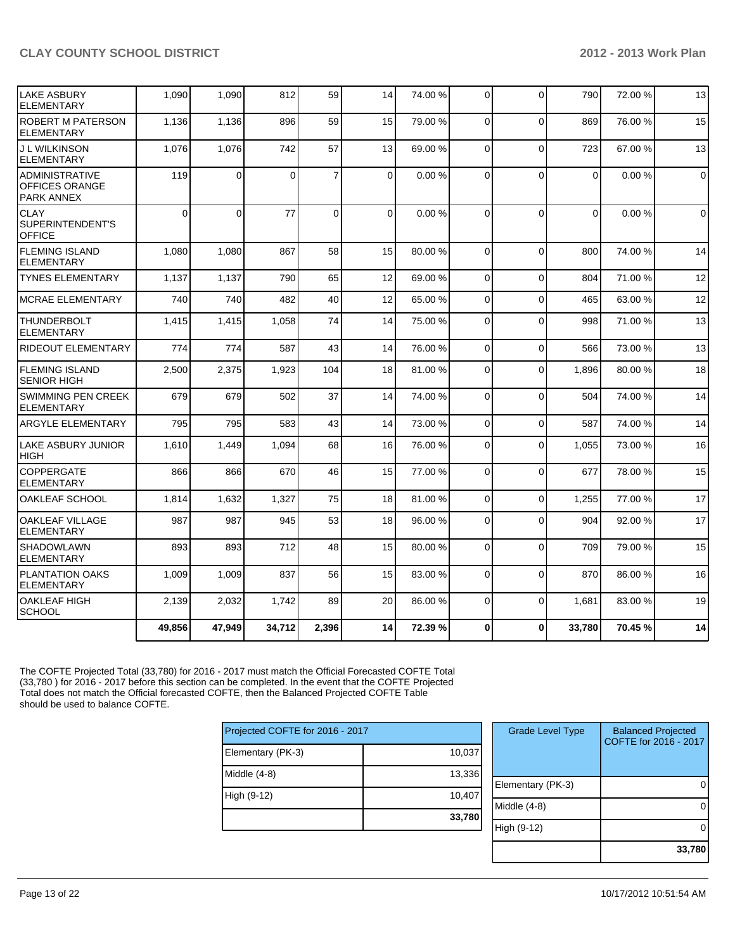| <b>LAKE ASBURY</b><br><b>ELEMENTARY</b>                      | 1,090    | 1,090          | 812      | 59             | 14       | 74.00 % | $\overline{0}$ | $\Omega$     | 790      | 72.00 %   | 13          |
|--------------------------------------------------------------|----------|----------------|----------|----------------|----------|---------|----------------|--------------|----------|-----------|-------------|
| <b>ROBERT M PATERSON</b><br>ELEMENTARY                       | 1,136    | 1,136          | 896      | 59             | 15       | 79.00 % | $\Omega$       | $\Omega$     | 869      | 76.00 %   | 15          |
| J L WILKINSON<br><b>ELEMENTARY</b>                           | 1,076    | 1,076          | 742      | 57             | 13       | 69.00 % | 0              | $\Omega$     | 723      | 67.00 %   | 13          |
| <b>ADMINISTRATIVE</b><br>OFFICES ORANGE<br><b>PARK ANNEX</b> | 119      | $\overline{0}$ | $\Omega$ | $\overline{7}$ | 0        | 0.00%   | $\Omega$       | $\Omega$     | 0        | $0.00 \%$ | $\mathbf 0$ |
| <b>CLAY</b><br>SUPERINTENDENT'S<br><b>OFFICE</b>             | $\Omega$ | $\Omega$       | 77       | $\Omega$       | $\Omega$ | 0.00%   | $\Omega$       | $\Omega$     | $\Omega$ | 0.00%     | $\mathbf 0$ |
| <b>FLEMING ISLAND</b><br><b>ELEMENTARY</b>                   | 1,080    | 1,080          | 867      | 58             | 15       | 80.00 % | $\Omega$       | $\Omega$     | 800      | 74.00 %   | 14          |
| <b>TYNES ELEMENTARY</b>                                      | 1,137    | 1,137          | 790      | 65             | 12       | 69.00 % | $\mathbf 0$    | $\Omega$     | 804      | 71.00 %   | 12          |
| <b>IMCRAE ELEMENTARY</b>                                     | 740      | 740            | 482      | 40             | 12       | 65.00 % | $\Omega$       | $\Omega$     | 465      | 63.00 %   | 12          |
| <b>THUNDERBOLT</b><br><b>ELEMENTARY</b>                      | 1,415    | 1,415          | 1,058    | 74             | 14       | 75.00 % | 0              | $\Omega$     | 998      | 71.00 %   | 13          |
| <b>RIDEOUT ELEMENTARY</b>                                    | 774      | 774            | 587      | 43             | 14       | 76.00 % | $\Omega$       | $\Omega$     | 566      | 73.00 %   | 13          |
| <b>FLEMING ISLAND</b><br><b>SENIOR HIGH</b>                  | 2,500    | 2,375          | 1,923    | 104            | 18       | 81.00 % | 0              | $\Omega$     | 1,896    | 80.00%    | 18          |
| <b>SWIMMING PEN CREEK</b><br><b>ELEMENTARY</b>               | 679      | 679            | 502      | 37             | 14       | 74.00 % | 0              | $\Omega$     | 504      | 74.00%    | 14          |
| <b>ARGYLE ELEMENTARY</b>                                     | 795      | 795            | 583      | 43             | 14       | 73.00 % | $\Omega$       | $\Omega$     | 587      | 74.00%    | 14          |
| <b>LAKE ASBURY JUNIOR</b><br><b>HIGH</b>                     | 1,610    | 1,449          | 1,094    | 68             | 16       | 76.00 % | $\Omega$       | $\Omega$     | 1,055    | 73.00 %   | 16          |
| <b>COPPERGATE</b><br><b>ELEMENTARY</b>                       | 866      | 866            | 670      | 46             | 15       | 77.00 % | 0              | $\Omega$     | 677      | 78.00 %   | 15          |
| OAKLEAF SCHOOL                                               | 1,814    | 1,632          | 1,327    | 75             | 18       | 81.00 % | $\mathbf 0$    | $\mathbf 0$  | 1,255    | 77.00 %   | 17          |
| <b>OAKLEAF VILLAGE</b><br><b>ELEMENTARY</b>                  | 987      | 987            | 945      | 53             | 18       | 96.00 % | $\mathbf 0$    | $\Omega$     | 904      | 92.00 %   | 17          |
| <b>SHADOWLAWN</b><br><b>ELEMENTARY</b>                       | 893      | 893            | 712      | 48             | 15       | 80.00 % | 0              | $\Omega$     | 709      | 79.00 %   | 15          |
| PLANTATION OAKS<br><b>ELEMENTARY</b>                         | 1,009    | 1,009          | 837      | 56             | 15       | 83.00 % | $\Omega$       | $\Omega$     | 870      | 86.00 %   | 16          |
| <b>OAKLEAF HIGH</b><br><b>SCHOOL</b>                         | 2,139    | 2,032          | 1,742    | 89             | 20       | 86.00 % | $\Omega$       | $\Omega$     | 1,681    | 83.00 %   | 19          |
|                                                              | 49,856   | 47,949         | 34,712   | 2,396          | 14       | 72.39 % | 0              | $\mathbf{0}$ | 33,780   | 70.45 %   | 14          |

The COFTE Projected Total (33,780) for 2016 - 2017 must match the Official Forecasted COFTE Total (33,780 ) for 2016 - 2017 before this section can be completed. In the event that the COFTE Projected Total does not match the Official forecasted COFTE, then the Balanced Projected COFTE Table should be used to balance COFTE.

| Projected COFTE for 2016 - 2017 |        |  |  |  |  |  |  |
|---------------------------------|--------|--|--|--|--|--|--|
| Elementary (PK-3)               | 10,037 |  |  |  |  |  |  |
| Middle $(4-8)$                  | 13,336 |  |  |  |  |  |  |
| High (9-12)                     | 10,407 |  |  |  |  |  |  |
|                                 | 33,780 |  |  |  |  |  |  |
|                                 |        |  |  |  |  |  |  |

| <b>Grade Level Type</b> | <b>Balanced Projected</b><br>COFTE for 2016 - 2017 |
|-------------------------|----------------------------------------------------|
| Elementary (PK-3)       |                                                    |
| Middle (4-8)            |                                                    |
| High (9-12)             |                                                    |
|                         | 33,780                                             |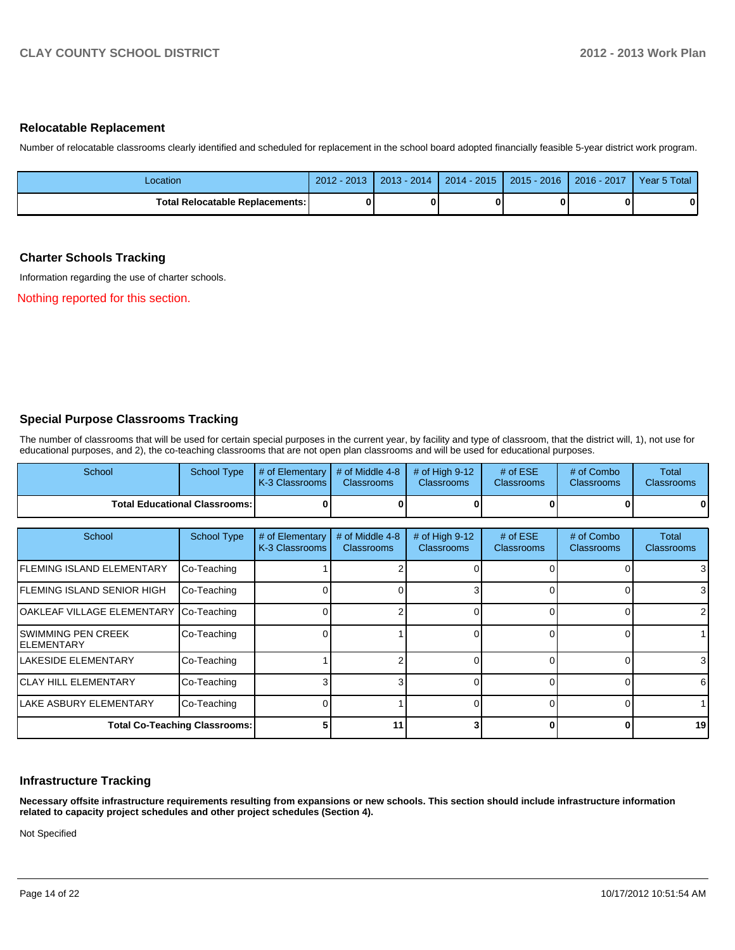#### **Relocatable Replacement**

Number of relocatable classrooms clearly identified and scheduled for replacement in the school board adopted financially feasible 5-year district work program.

| _ocation                               | $2012 -$<br>$-2013$ | 2014<br>$2013 -$ | $2014 - 2015$ | $2015 - 2016$ | $-2017$<br>$2016 -$ | Year 5 Total |
|----------------------------------------|---------------------|------------------|---------------|---------------|---------------------|--------------|
| <b>Total Relocatable Replacements:</b> |                     |                  |               |               |                     | 0            |

#### **Charter Schools Tracking**

Information regarding the use of charter schools.

Nothing reported for this section.

### **Special Purpose Classrooms Tracking**

The number of classrooms that will be used for certain special purposes in the current year, by facility and type of classroom, that the district will, 1), not use for educational purposes, and 2), the co-teaching classrooms that are not open plan classrooms and will be used for educational purposes.

| School                             | <b>School Type</b>                   | # of Elementary<br>K-3 Classrooms | # of Middle 4-8<br><b>Classrooms</b> | # of High 9-12<br><b>Classrooms</b> | # of $ESE$<br><b>Classrooms</b> | # of Combo<br><b>Classrooms</b> | Total<br><b>Classrooms</b>        |
|------------------------------------|--------------------------------------|-----------------------------------|--------------------------------------|-------------------------------------|---------------------------------|---------------------------------|-----------------------------------|
|                                    | <b>Total Educational Classrooms:</b> |                                   |                                      |                                     |                                 |                                 | $\mathbf{0}$                      |
| School                             | <b>School Type</b>                   | # of Elementary<br>K-3 Classrooms | # of Middle 4-8<br><b>Classrooms</b> | # of High 9-12<br><b>Classrooms</b> | # of $ESE$<br><b>Classrooms</b> | # of Combo<br><b>Classrooms</b> | <b>Total</b><br><b>Classrooms</b> |
| lFLEMING ISLAND ELEMENTARY         | Co-Teaching                          |                                   |                                      |                                     |                                 |                                 | 3                                 |
| IFLEMING ISLAND SENIOR HIGH        | Co-Teaching                          |                                   |                                      | 3                                   | $\Omega$                        |                                 | 3 <sup>1</sup>                    |
| OAKLEAF VILLAGE ELEMENTARY         | Co-Teaching                          |                                   |                                      | <sup>0</sup>                        | $\Omega$                        |                                 | ا 2                               |
| ISWIMMING PEN CREEK<br>IELEMENTARY | Co-Teaching                          |                                   |                                      | <sup>0</sup>                        | ∩                               |                                 |                                   |
| ILAKESIDE ELEMENTARY               | Co-Teaching                          |                                   |                                      | 0                                   | $\Omega$                        |                                 | 3 <sup>l</sup>                    |
| <b>ICLAY HILL ELEMENTARY</b>       | Co-Teaching                          |                                   |                                      |                                     | $\Omega$                        |                                 | 6                                 |
| LAKE ASBURY ELEMENTARY             | Co-Teaching                          |                                   |                                      |                                     |                                 |                                 |                                   |
|                                    | <b>Total Co-Teaching Classrooms:</b> |                                   | 11                                   |                                     |                                 |                                 | 19                                |

#### **Infrastructure Tracking**

**Necessary offsite infrastructure requirements resulting from expansions or new schools. This section should include infrastructure information related to capacity project schedules and other project schedules (Section 4).**

Not Specified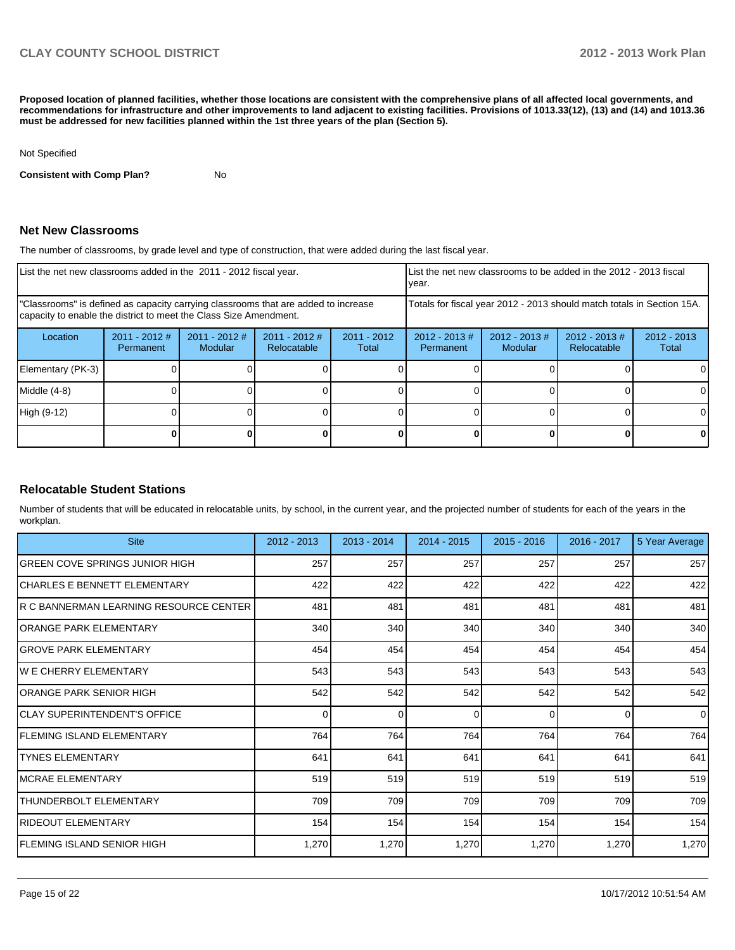**Proposed location of planned facilities, whether those locations are consistent with the comprehensive plans of all affected local governments, and recommendations for infrastructure and other improvements to land adjacent to existing facilities. Provisions of 1013.33(12), (13) and (14) and 1013.36 must be addressed for new facilities planned within the 1st three years of the plan (Section 5).**

Not Specified

**Consistent with Comp Plan?** No

#### **Net New Classrooms**

The number of classrooms, by grade level and type of construction, that were added during the last fiscal year.

| List the net new classrooms added in the 2011 - 2012 fiscal year.                                                                                       |                              |                            |                                |                                                                        | List the net new classrooms to be added in the 2012 - 2013 fiscal<br>vear. |                             |                                |                        |
|---------------------------------------------------------------------------------------------------------------------------------------------------------|------------------------------|----------------------------|--------------------------------|------------------------------------------------------------------------|----------------------------------------------------------------------------|-----------------------------|--------------------------------|------------------------|
| "Classrooms" is defined as capacity carrying classrooms that are added to increase<br>capacity to enable the district to meet the Class Size Amendment. |                              |                            |                                | Totals for fiscal year 2012 - 2013 should match totals in Section 15A. |                                                                            |                             |                                |                        |
| Location                                                                                                                                                | $2011 - 2012$ #<br>Permanent | $2011 - 2012$ #<br>Modular | $2011 - 2012$ #<br>Relocatable | $2011 - 2012$<br>Total                                                 | $2012 - 2013 \#$<br>Permanent                                              | $2012 - 2013 \#$<br>Modular | $2012 - 2013$ #<br>Relocatable | $2012 - 2013$<br>Total |
| Elementary (PK-3)                                                                                                                                       |                              |                            |                                |                                                                        |                                                                            |                             |                                |                        |
| Middle (4-8)                                                                                                                                            |                              |                            |                                |                                                                        |                                                                            |                             |                                |                        |
| High (9-12)                                                                                                                                             |                              |                            |                                |                                                                        |                                                                            |                             |                                |                        |
|                                                                                                                                                         |                              |                            |                                |                                                                        |                                                                            |                             |                                |                        |

### **Relocatable Student Stations**

Number of students that will be educated in relocatable units, by school, in the current year, and the projected number of students for each of the years in the workplan.

| <b>Site</b>                            | 2012 - 2013 | $2013 - 2014$ | 2014 - 2015 | $2015 - 2016$ | $2016 - 2017$ | 5 Year Average |
|----------------------------------------|-------------|---------------|-------------|---------------|---------------|----------------|
| GREEN COVE SPRINGS JUNIOR HIGH         | 257         | 257           | 257         | 257           | 257           | 257            |
| ICHARLES E BENNETT ELEMENTARY          | 422         | 422           | 422         | 422           | 422           | 422            |
| R C BANNERMAN LEARNING RESOURCE CENTER | 481         | 481           | 481         | 481           | 481           | 481            |
| lORANGE PARK ELEMENTARY                | 340         | 340           | 340         | 340           | 340           | 340            |
| GROVE PARK ELEMENTARY                  | 454         | 454           | 454         | 454           | 454           | 454            |
| IW E CHERRY ELEMENTARY                 | 543         | 543           | 543         | 543           | 543           | 543            |
| ORANGE PARK SENIOR HIGH                | 542         | 542           | 542         | 542           | 542           | 542            |
| ICLAY SUPERINTENDENT'S OFFICE          | 0           | 0             | 0           | $\Omega$      | 0             | $\Omega$       |
| <b>FLEMING ISLAND ELEMENTARY</b>       | 764         | 764           | 764         | 764           | 764           | 764            |
| <b>ITYNES ELEMENTARY</b>               | 641         | 641           | 641         | 641           | 641           | 641            |
| IMCRAE ELEMENTARY                      | 519         | 519           | 519         | 519           | 519           | 519            |
| <b>ITHUNDERBOLT ELEMENTARY</b>         | 709         | 709           | 709         | 709           | 709           | 709            |
| RIDEOUT ELEMENTARY                     | 154         | 154           | 154         | 154           | 154           | 154            |
| FLEMING ISLAND SENIOR HIGH             | 1,270       | 1,270         | 1,270       | 1,270         | 1,270         | 1,270          |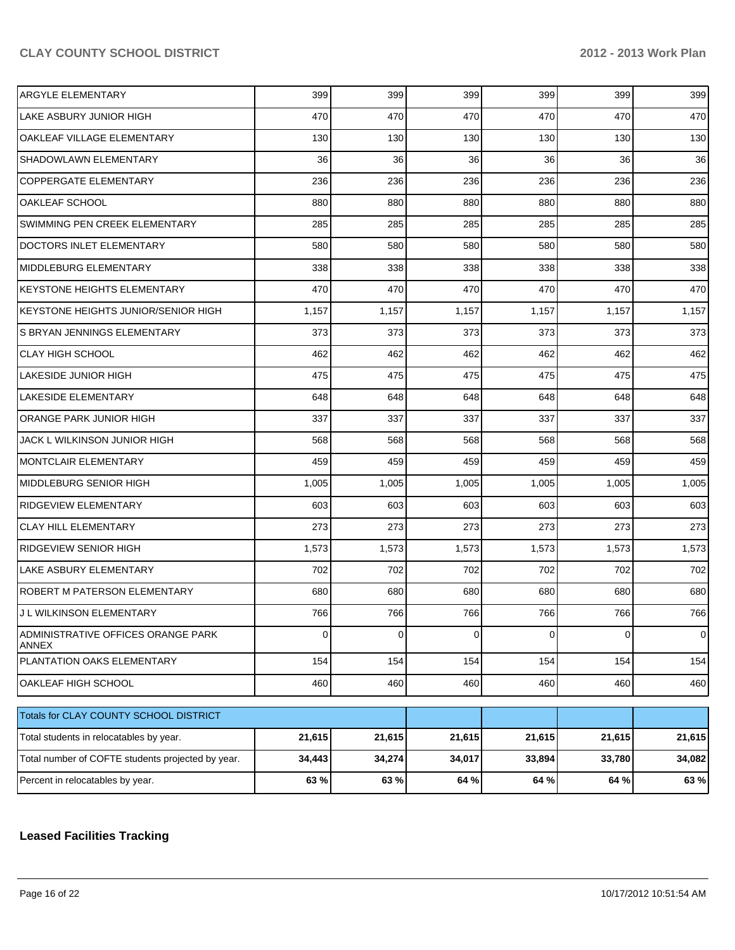| <b>ARGYLE ELEMENTARY</b>                           | 399    | 399    | 399    | 399    | 399    | 399            |
|----------------------------------------------------|--------|--------|--------|--------|--------|----------------|
| LAKE ASBURY JUNIOR HIGH                            | 470    | 470    | 470    | 470    | 470    | 470            |
| OAKLEAF VILLAGE ELEMENTARY                         | 130    | 130    | 130    | 130    | 130    | 130            |
| SHADOWLAWN ELEMENTARY                              | 36     | 36     | 36     | 36     | 36     | 36             |
| COPPERGATE ELEMENTARY                              | 236    | 236    | 236    | 236    | 236    | 236            |
| OAKLEAF SCHOOL                                     | 880    | 880    | 880    | 880    | 880    | 880            |
| SWIMMING PEN CREEK ELEMENTARY                      | 285    | 285    | 285    | 285    | 285    | 285            |
| <b>DOCTORS INLET ELEMENTARY</b>                    | 580    | 580    | 580    | 580    | 580    | 580            |
| MIDDLEBURG ELEMENTARY                              | 338    | 338    | 338    | 338    | 338    | 338            |
| <b>KEYSTONE HEIGHTS ELEMENTARY</b>                 | 470    | 470    | 470    | 470    | 470    | 470            |
| KEYSTONE HEIGHTS JUNIOR/SENIOR HIGH                | 1,157  | 1,157  | 1,157  | 1,157  | 1,157  | 1,157          |
| S BRYAN JENNINGS ELEMENTARY                        | 373    | 373    | 373    | 373    | 373    | 373            |
| <b>CLAY HIGH SCHOOL</b>                            | 462    | 462    | 462    | 462    | 462    | 462            |
| <b>LAKESIDE JUNIOR HIGH</b>                        | 475    | 475    | 475    | 475    | 475    | 475            |
| LAKESIDE ELEMENTARY                                | 648    | 648    | 648    | 648    | 648    | 648            |
| ORANGE PARK JUNIOR HIGH                            | 337    | 337    | 337    | 337    | 337    | 337            |
| JACK L WILKINSON JUNIOR HIGH                       | 568    | 568    | 568    | 568    | 568    | 568            |
| MONTCLAIR ELEMENTARY                               | 459    | 459    | 459    | 459    | 459    | 459            |
| <b>MIDDLEBURG SENIOR HIGH</b>                      | 1,005  | 1,005  | 1,005  | 1,005  | 1,005  | 1,005          |
| <b>RIDGEVIEW ELEMENTARY</b>                        | 603    | 603    | 603    | 603    | 603    | 603            |
| <b>CLAY HILL ELEMENTARY</b>                        | 273    | 273    | 273    | 273    | 273    | 273            |
| <b>RIDGEVIEW SENIOR HIGH</b>                       | 1,573  | 1,573  | 1,573  | 1,573  | 1,573  | 1,573          |
| LAKE ASBURY ELEMENTARY                             | 702    | 702    | 702    | 702    | 702    | 702            |
| ROBERT M PATERSON ELEMENTARY                       | 680    | 680    | 680    | 680    | 680    | 680            |
| J L WILKINSON ELEMENTARY                           | 766    | 766    | 766    | 766    | 766    | 766            |
| ADMINISTRATIVE OFFICES ORANGE PARK<br><b>ANNEX</b> | 0      | 0      | 0      | 0      | 0      | $\overline{0}$ |
| PLANTATION OAKS ELEMENTARY                         | 154    | 154    | 154    | 154    | 154    | 154            |
| OAKLEAF HIGH SCHOOL                                | 460    | 460    | 460    | 460    | 460    | 460            |
| Totals for CLAY COUNTY SCHOOL DISTRICT             |        |        |        |        |        |                |
| Total students in relocatables by year.            | 21,615 | 21,615 | 21,615 | 21,615 | 21,615 | 21,615         |
| Total number of COFTE students projected by year.  | 34,443 | 34,274 | 34,017 | 33,894 | 33,780 | 34,082         |
| Percent in relocatables by year.                   | 63 %   | 63%    | 64 %   | 64 %   | 64 %   | 63 %           |

### **Leased Facilities Tracking**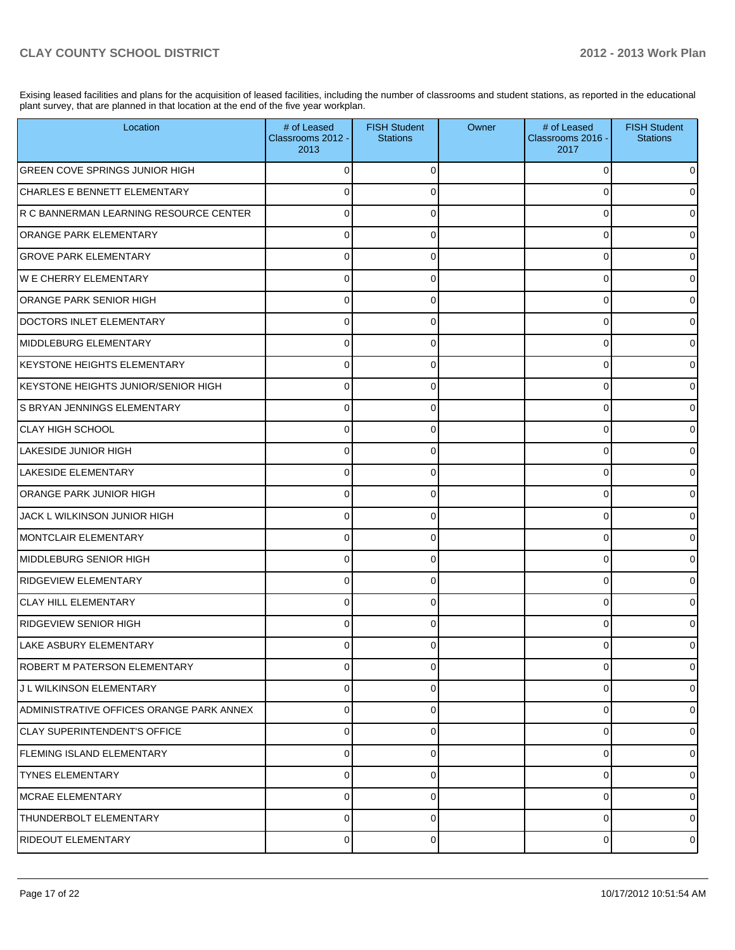Exising leased facilities and plans for the acquisition of leased facilities, including the number of classrooms and student stations, as reported in the educational plant survey, that are planned in that location at the end of the five year workplan.

| Location                                 | # of Leased<br>Classrooms 2012 -<br>2013 | <b>FISH Student</b><br><b>Stations</b> | Owner | # of Leased<br>Classrooms 2016 -<br>2017 | <b>FISH Student</b><br><b>Stations</b> |
|------------------------------------------|------------------------------------------|----------------------------------------|-------|------------------------------------------|----------------------------------------|
| <b>GREEN COVE SPRINGS JUNIOR HIGH</b>    |                                          | 0                                      |       | 0                                        | 0                                      |
| CHARLES E BENNETT ELEMENTARY             | 0                                        | 0                                      |       | 0                                        | 0                                      |
| R C BANNERMAN LEARNING RESOURCE CENTER   | 0                                        | 0                                      |       | 0                                        | 0                                      |
| <b>ORANGE PARK ELEMENTARY</b>            | 0                                        | 0                                      |       | 0                                        | $\overline{0}$                         |
| <b>GROVE PARK ELEMENTARY</b>             | 0                                        | 0                                      |       | 0                                        | $\overline{0}$                         |
| <b>WE CHERRY ELEMENTARY</b>              | 0                                        | 0                                      |       | 0                                        | $\overline{0}$                         |
| ORANGE PARK SENIOR HIGH                  | 0                                        | 0                                      |       | 0                                        | $\overline{0}$                         |
| DOCTORS INLET ELEMENTARY                 | 0                                        | 0                                      |       | 0                                        | $\overline{0}$                         |
| MIDDLEBURG ELEMENTARY                    | 0                                        | 0                                      |       | O                                        | 0                                      |
| <b>IKEYSTONE HEIGHTS ELEMENTARY</b>      | 0                                        | 0                                      |       | U                                        | $\overline{0}$                         |
| KEYSTONE HEIGHTS JUNIOR/SENIOR HIGH      | 0                                        | 0                                      |       | 0                                        | $\overline{0}$                         |
| S BRYAN JENNINGS ELEMENTARY              | $\Omega$                                 | 0                                      |       | 0                                        | $\overline{0}$                         |
| <b>CLAY HIGH SCHOOL</b>                  | 0                                        | 0                                      |       | 0                                        | $\overline{0}$                         |
| LAKESIDE JUNIOR HIGH                     | 0                                        | 0                                      |       | 0                                        | $\overline{0}$                         |
| LAKESIDE ELEMENTARY                      | 0                                        | 0                                      |       | 0                                        | $\overline{0}$                         |
| ORANGE PARK JUNIOR HIGH                  | 0                                        | 0                                      |       | U                                        | $\overline{0}$                         |
| JACK L WILKINSON JUNIOR HIGH             | 0                                        | 0                                      |       | 0                                        | $\overline{0}$                         |
| MONTCLAIR ELEMENTARY                     | 0                                        | 0                                      |       | U                                        | $\overline{0}$                         |
| MIDDLEBURG SENIOR HIGH                   | 0                                        | 0                                      |       | 0                                        | $\overline{0}$                         |
| <b>RIDGEVIEW ELEMENTARY</b>              | $\Omega$                                 | 0                                      |       | 0                                        | $\overline{0}$                         |
| <b>CLAY HILL ELEMENTARY</b>              | $\Omega$                                 | 0                                      |       | 0                                        | $\overline{0}$                         |
| <b>RIDGEVIEW SENIOR HIGH</b>             | 0                                        | 0                                      |       | U                                        | $\overline{0}$                         |
| LAKE ASBURY ELEMENTARY                   | 0                                        | 0                                      |       |                                          | 0                                      |
| ROBERT M PATERSON ELEMENTARY             | 0                                        | 0                                      |       | 0                                        | $\mathbf 0$                            |
| J L WILKINSON ELEMENTARY                 | $\pmb{0}$                                | 0                                      |       | 0                                        | $\overline{0}$                         |
| ADMINISTRATIVE OFFICES ORANGE PARK ANNEX | $\pmb{0}$                                | 0                                      |       | 0                                        | $\overline{0}$                         |
| CLAY SUPERINTENDENT'S OFFICE             | $\pmb{0}$                                | 0                                      |       | 0                                        | $\overline{0}$                         |
| FLEMING ISLAND ELEMENTARY                | $\pmb{0}$                                | 0                                      |       | 0                                        | $\overline{0}$                         |
| <b>TYNES ELEMENTARY</b>                  | $\pmb{0}$                                | 0                                      |       | 0                                        | $\overline{0}$                         |
| IMCRAE ELEMENTARY                        | $\mathbf 0$                              | 0                                      |       | 0                                        | $\overline{0}$                         |
| THUNDERBOLT ELEMENTARY                   | $\mathbf 0$                              | 0                                      |       | 0                                        | $\overline{0}$                         |
| RIDEOUT ELEMENTARY                       | $\pmb{0}$                                | 0                                      |       | 0                                        | $\overline{0}$                         |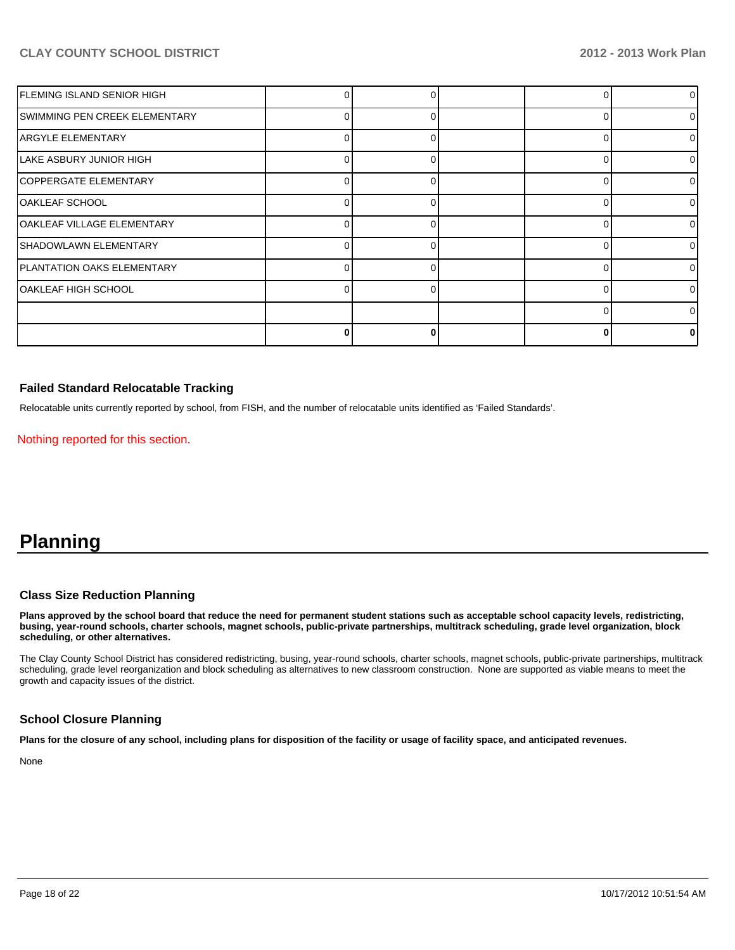| FLEMING ISLAND SENIOR HIGH    |  |   | 0              |
|-------------------------------|--|---|----------------|
| SWIMMING PEN CREEK ELEMENTARY |  | C | $\overline{0}$ |
| <b>ARGYLE ELEMENTARY</b>      |  | ∩ | $\overline{0}$ |
| LAKE ASBURY JUNIOR HIGH       |  |   | 0              |
| <b>COPPERGATE ELEMENTARY</b>  |  |   | 01             |
| OAKLEAF SCHOOL                |  | 0 | $\overline{0}$ |
| OAKLEAF VILLAGE ELEMENTARY    |  | U | $\overline{0}$ |
| SHADOWLAWN ELEMENTARY         |  |   | $\overline{0}$ |
| PLANTATION OAKS ELEMENTARY    |  |   | 0              |
| OAKLEAF HIGH SCHOOL           |  |   | 0              |
|                               |  |   | 0              |
|                               |  |   | $\Omega$       |

### **Failed Standard Relocatable Tracking**

Relocatable units currently reported by school, from FISH, and the number of relocatable units identified as 'Failed Standards'.

Nothing reported for this section.

# **Planning**

#### **Class Size Reduction Planning**

**Plans approved by the school board that reduce the need for permanent student stations such as acceptable school capacity levels, redistricting, busing, year-round schools, charter schools, magnet schools, public-private partnerships, multitrack scheduling, grade level organization, block scheduling, or other alternatives.**

The Clay County School District has considered redistricting, busing, year-round schools, charter schools, magnet schools, public-private partnerships, multitrack scheduling, grade level reorganization and block scheduling as alternatives to new classroom construction. None are supported as viable means to meet the growth and capacity issues of the district.

### **School Closure Planning**

**Plans for the closure of any school, including plans for disposition of the facility or usage of facility space, and anticipated revenues.**

None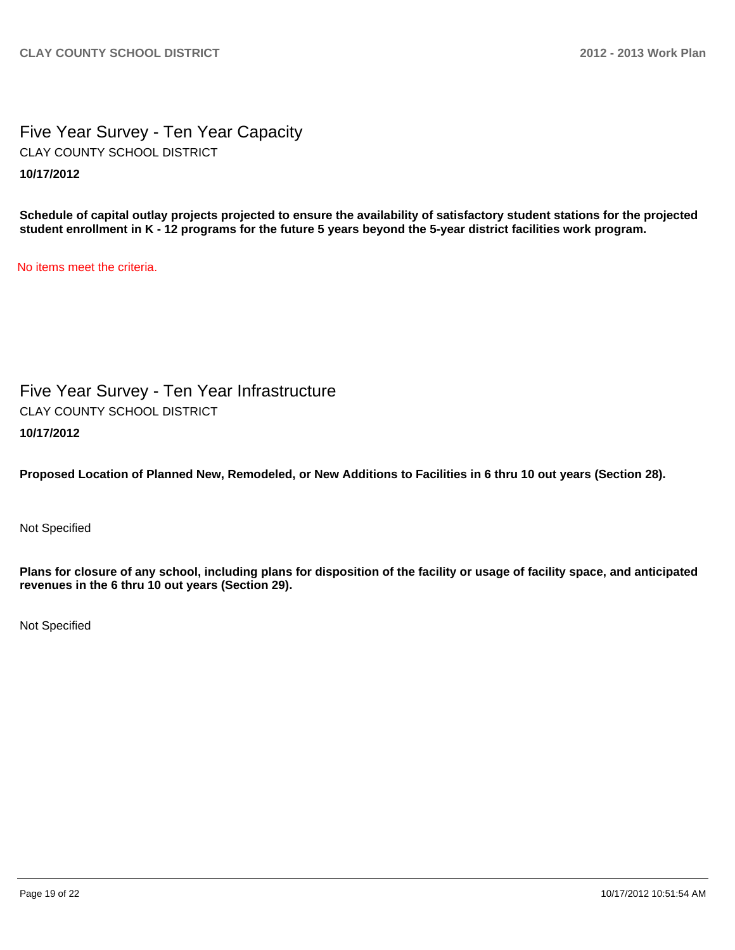Five Year Survey - Ten Year Capacity **10/17/2012** CLAY COUNTY SCHOOL DISTRICT

**Schedule of capital outlay projects projected to ensure the availability of satisfactory student stations for the projected student enrollment in K - 12 programs for the future 5 years beyond the 5-year district facilities work program.**

No items meet the criteria.

Five Year Survey - Ten Year Infrastructure **10/17/2012** CLAY COUNTY SCHOOL DISTRICT

**Proposed Location of Planned New, Remodeled, or New Additions to Facilities in 6 thru 10 out years (Section 28).**

Not Specified

**Plans for closure of any school, including plans for disposition of the facility or usage of facility space, and anticipated revenues in the 6 thru 10 out years (Section 29).**

Not Specified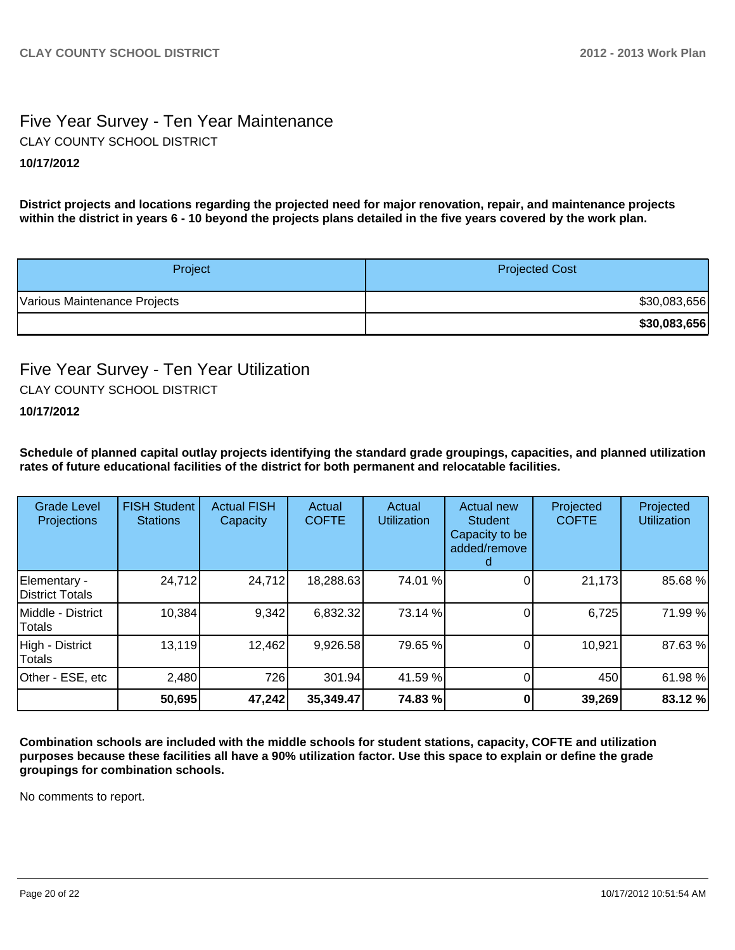## Five Year Survey - Ten Year Maintenance **10/17/2012** CLAY COUNTY SCHOOL DISTRICT

**District projects and locations regarding the projected need for major renovation, repair, and maintenance projects within the district in years 6 - 10 beyond the projects plans detailed in the five years covered by the work plan.**

| Project                      | <b>Projected Cost</b> |
|------------------------------|-----------------------|
| Various Maintenance Projects | \$30,083,656          |
|                              | \$30,083,656          |

# Five Year Survey - Ten Year Utilization CLAY COUNTY SCHOOL DISTRICT

### **10/17/2012**

**Schedule of planned capital outlay projects identifying the standard grade groupings, capacities, and planned utilization rates of future educational facilities of the district for both permanent and relocatable facilities.**

| <b>Grade Level</b><br>Projections | <b>FISH Student</b><br><b>Stations</b> | <b>Actual FISH</b><br>Capacity | Actual<br><b>COFTE</b> | Actual<br><b>Utilization</b> | Actual new<br><b>Student</b><br>Capacity to be<br>added/remove | Projected<br><b>COFTE</b> | Projected<br>Utilization |
|-----------------------------------|----------------------------------------|--------------------------------|------------------------|------------------------------|----------------------------------------------------------------|---------------------------|--------------------------|
| Elementary -<br>District Totals   | 24,712                                 | 24,712                         | 18,288.63              | 74.01 %                      |                                                                | 21,173                    | 85.68 %                  |
| IMiddle - District<br>Totals      | 10,384                                 | 9,342                          | 6,832.32               | 73.14 %                      |                                                                | 6,725                     | 71.99 %                  |
| High - District<br>Totals         | 13,119                                 | 12,462                         | 9,926.58               | 79.65 %                      |                                                                | 10,921                    | 87.63%                   |
| Other - ESE, etc                  | 2,480                                  | 726                            | 301.94                 | 41.59 %                      |                                                                | 450                       | 61.98 %                  |
|                                   | 50,695                                 | 47,242                         | 35,349.47              | 74.83 %                      |                                                                | 39,269                    | 83.12 %                  |

**Combination schools are included with the middle schools for student stations, capacity, COFTE and utilization purposes because these facilities all have a 90% utilization factor. Use this space to explain or define the grade groupings for combination schools.**

No comments to report.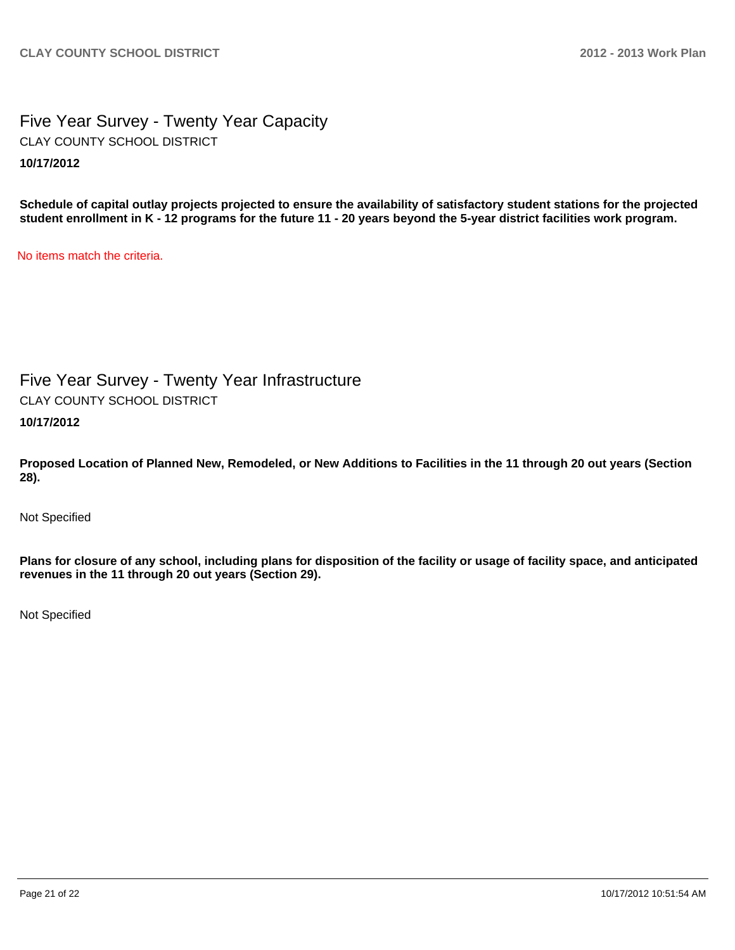Five Year Survey - Twenty Year Capacity **10/17/2012** CLAY COUNTY SCHOOL DISTRICT

**Schedule of capital outlay projects projected to ensure the availability of satisfactory student stations for the projected student enrollment in K - 12 programs for the future 11 - 20 years beyond the 5-year district facilities work program.**

No items match the criteria.

Five Year Survey - Twenty Year Infrastructure CLAY COUNTY SCHOOL DISTRICT

**10/17/2012**

**Proposed Location of Planned New, Remodeled, or New Additions to Facilities in the 11 through 20 out years (Section 28).**

Not Specified

**Plans for closure of any school, including plans for disposition of the facility or usage of facility space, and anticipated revenues in the 11 through 20 out years (Section 29).**

Not Specified